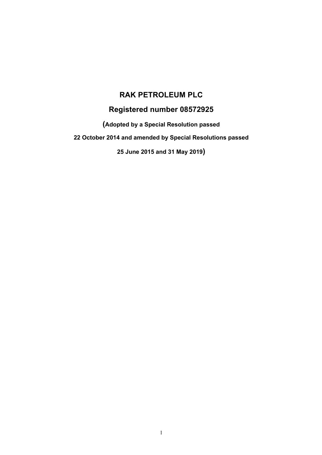# **RAK PETROLEUM PLC**

# **Registered number 08572925**

**(Adopted by a Special Resolution passed**

**22 October 2014 and amended by Special Resolutions passed**

**25 June 2015 and 31 May 2019)**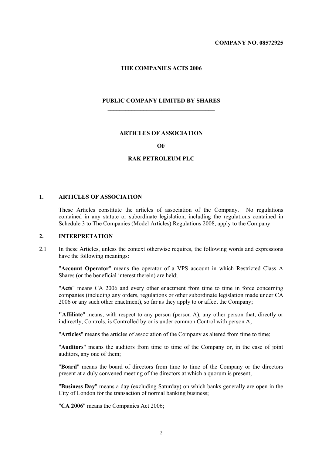**COMPANY NO. 08572925**

#### **THE COMPANIES ACTS 2006**

#### **PUBLIC COMPANY LIMITED BY SHARES**

 $\mathcal{L}_\text{max}$ 

#### **ARTICLES OF ASSOCIATION**

#### **OF**

# **RAK PETROLEUM PLC**

#### **1. ARTICLES OF ASSOCIATION**

These Articles constitute the articles of association of the Company. No regulations contained in any statute or subordinate legislation, including the regulations contained in Schedule 3 to The Companies (Model Articles) Regulations 2008, apply to the Company.

# **2. INTERPRETATION**

2.1 In these Articles, unless the context otherwise requires, the following words and expressions have the following meanings:

"**Account Operator**" means the operator of a VPS account in which Restricted Class A Shares (or the beneficial interest therein) are held;

"**Acts**" means CA 2006 and every other enactment from time to time in force concerning companies (including any orders, regulations or other subordinate legislation made under CA 2006 or any such other enactment), so far as they apply to or affect the Company;

**"Affiliate**" means, with respect to any person (person A), any other person that, directly or indirectly, Controls, is Controlled by or is under common Control with person A;

"**Articles**" means the articles of association of the Company as altered from time to time;

"**Auditors**" means the auditors from time to time of the Company or, in the case of joint auditors, any one of them;

"**Board**" means the board of directors from time to time of the Company or the directors present at a duly convened meeting of the directors at which a quorum is present;

"**Business Day**" means a day (excluding Saturday) on which banks generally are open in the City of London for the transaction of normal banking business;

"**CA 2006**" means the Companies Act 2006;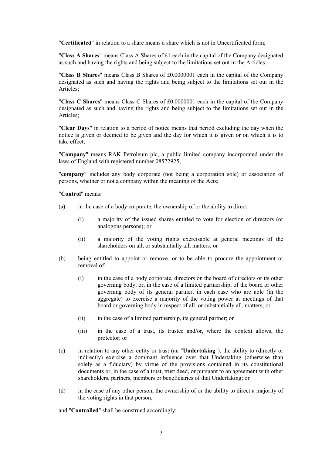"**Certificated**" in relation to a share means a share which is not in Uncertificated form;

"**Class A Shares**" means Class A Shares of £1 each in the capital of the Company designated as such and having the rights and being subject to the limitations set out in the Articles;

"**Class B Shares**" means Class B Shares of £0.0000001 each in the capital of the Company designated as such and having the rights and being subject to the limitations set out in the Articles;

"**Class C Shares**" means Class C Shares of £0.0000001 each in the capital of the Company designated as such and having the rights and being subject to the limitations set out in the Articles;

"**Clear Days**" in relation to a period of notice means that period excluding the day when the notice is given or deemed to be given and the day for which it is given or on which it is to take effect;

"**Company**" means RAK Petroleum plc, a public limited company incorporated under the laws of England with registered number 08572925;

"**company**" includes any body corporate (not being a corporation sole) or association of persons, whether or not a company within the meaning of the Acts;

"**Control**" means:

- (a) in the case of a body corporate, the ownership of or the ability to direct:
	- (i) a majority of the issued shares entitled to vote for election of directors (or analogous persons); or
	- (ii) a majority of the voting rights exercisable at general meetings of the shareholders on all, or substantially all, matters; or
- (b) being entitled to appoint or remove, or to be able to procure the appointment or removal of:
	- (i) in the case of a body corporate, directors on the board of directors or its other governing body, or, in the case of a limited partnership, of the board or other governing body of its general partner, in each case who are able (in the aggregate) to exercise a majority of the voting power at meetings of that board or governing body in respect of all, or substantially all, matters; or
	- (ii) in the case of a limited partnership, its general partner; or
	- (iii) in the case of a trust, its trustee and/or, where the context allows, the protector; or
- (c) in relation to any other entity or trust (an "**Undertaking**"), the ability to (directly or indirectly) exercise a dominant influence over that Undertaking (otherwise than solely as a fiduciary) by virtue of the provisions contained in its constitutional documents or, in the case of a trust, trust deed, or pursuant to an agreement with other shareholders, partners, members or beneficiaries of that Undertaking; or
- (d) in the case of any other person, the ownership of or the ability to direct a majority of the voting rights in that person,

and "**Controlled**" shall be construed accordingly;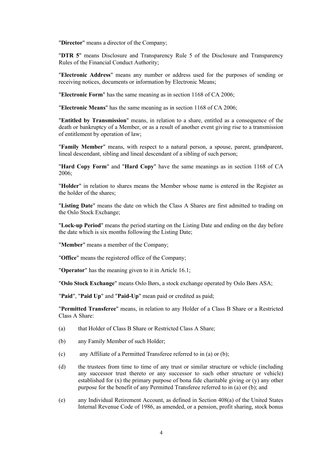"**Director**" means a director of the Company;

"**DTR 5**" means Disclosure and Transparency Rule 5 of the Disclosure and Transparency Rules of the Financial Conduct Authority;

"**Electronic Address**" means any number or address used for the purposes of sending or receiving notices, documents or information by Electronic Means;

"**Electronic Form**" has the same meaning as in section 1168 of CA 2006;

"**Electronic Means**" has the same meaning as in section 1168 of CA 2006;

"**Entitled by Transmission**" means, in relation to a share, entitled as a consequence of the death or bankruptcy of a Member, or as a result of another event giving rise to a transmission of entitlement by operation of law;

"**Family Member**" means, with respect to a natural person, a spouse, parent, grandparent, lineal descendant, sibling and lineal descendant of a sibling of such person;

"**Hard Copy Form**" and "**Hard Copy**" have the same meanings as in section 1168 of CA 2006;

"**Holder**" in relation to shares means the Member whose name is entered in the Register as the holder of the shares;

"**Listing Date**" means the date on which the Class A Shares are first admitted to trading on the Oslo Stock Exchange;

"**Lock-up Period**" means the period starting on the Listing Date and ending on the day before the date which is six months following the Listing Date;

"**Member**" means a member of the Company;

"**Office**" means the registered office of the Company;

"**Operator**" has the meaning given to it in Article 16.1;

"**Oslo Stock Exchange**" means Oslo Børs, a stock exchange operated by Oslo Børs ASA;

"**Paid**", "**Paid Up**" and "**Paid-Up**" mean paid or credited as paid;

"**Permitted Transferee**" means, in relation to any Holder of a Class B Share or a Restricted Class A Share:

- (a) that Holder of Class B Share or Restricted Class A Share;
- (b) any Family Member of such Holder;
- (c) any Affiliate of a Permitted Transferee referred to in (a) or (b);
- (d) the trustees from time to time of any trust or similar structure or vehicle (including any successor trust thereto or any successor to such other structure or vehicle) established for  $(x)$  the primary purpose of bona fide charitable giving or  $(y)$  any other purpose for the benefit of any Permitted Transferee referred to in (a) or (b); and
- (e) any Individual Retirement Account, as defined in Section 408(a) of the United States Internal Revenue Code of 1986, as amended, or a pension, profit sharing, stock bonus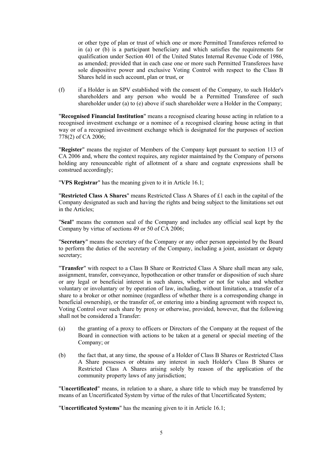or other type of plan or trust of which one or more Permitted Transferees referred to in (a) or (b) is a participant beneficiary and which satisfies the requirements for qualification under Section 401 of the United States Internal Revenue Code of 1986, as amended; provided that in each case one or more such Permitted Transferees have sole dispositive power and exclusive Voting Control with respect to the Class B Shares held in such account, plan or trust, or

(f) if a Holder is an SPV established with the consent of the Company, to such Holder's shareholders and any person who would be a Permitted Transferee of such shareholder under (a) to (e) above if such shareholder were a Holder in the Company;

"**Recognised Financial Institution**" means a recognised clearing house acting in relation to a recognised investment exchange or a nominee of a recognised clearing house acting in that way or of a recognised investment exchange which is designated for the purposes of section 778(2) of CA 2006;

"**Register**" means the register of Members of the Company kept pursuant to section 113 of CA 2006 and, where the context requires, any register maintained by the Company of persons holding any renounceable right of allotment of a share and cognate expressions shall be construed accordingly;

"**VPS Registrar**" has the meaning given to it in Article 16.1;

"**Restricted Class A Shares**" means Restricted Class A Shares of £1 each in the capital of the Company designated as such and having the rights and being subject to the limitations set out in the Articles;

"**Seal**" means the common seal of the Company and includes any official seal kept by the Company by virtue of sections 49 or 50 of CA 2006;

"**Secretary**" means the secretary of the Company or any other person appointed by the Board to perform the duties of the secretary of the Company, including a joint, assistant or deputy secretary;

"**Transfer**" with respect to a Class B Share or Restricted Class A Share shall mean any sale, assignment, transfer, conveyance, hypothecation or other transfer or disposition of such share or any legal or beneficial interest in such shares, whether or not for value and whether voluntary or involuntary or by operation of law, including, without limitation, a transfer of a share to a broker or other nominee (regardless of whether there is a corresponding change in beneficial ownership), or the transfer of, or entering into a binding agreement with respect to, Voting Control over such share by proxy or otherwise, provided, however, that the following shall not be considered a Transfer:

- (a) the granting of a proxy to officers or Directors of the Company at the request of the Board in connection with actions to be taken at a general or special meeting of the Company; or
- (b) the fact that, at any time, the spouse of a Holder of Class B Shares or Restricted Class A Share possesses or obtains any interest in such Holder's Class B Shares or Restricted Class A Shares arising solely by reason of the application of the community property laws of any jurisdiction;

"**Uncertificated**" means, in relation to a share, a share title to which may be transferred by means of an Uncertificated System by virtue of the rules of that Uncertificated System;

"**Uncertificated Systems**" has the meaning given to it in Article 16.1;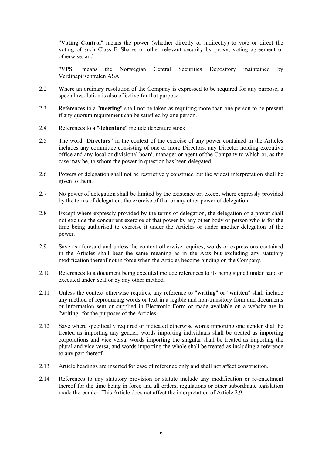"**Voting Control**" means the power (whether directly or indirectly) to vote or direct the voting of such Class B Shares or other relevant security by proxy, voting agreement or otherwise; and

"**VPS**" means the Norwegian Central Securities Depository maintained by Verdipapirsentralen ASA.

- 2.2 Where an ordinary resolution of the Company is expressed to be required for any purpose, a special resolution is also effective for that purpose.
- 2.3 References to a "**meeting**" shall not be taken as requiring more than one person to be present if any quorum requirement can be satisfied by one person.
- 2.4 References to a "**debenture**" include debenture stock.
- 2.5 The word "**Directors**" in the context of the exercise of any power contained in the Articles includes any committee consisting of one or more Directors, any Director holding executive office and any local or divisional board, manager or agent of the Company to which or, as the case may be, to whom the power in question has been delegated.
- 2.6 Powers of delegation shall not be restrictively construed but the widest interpretation shall be given to them.
- 2.7 No power of delegation shall be limited by the existence or, except where expressly provided by the terms of delegation, the exercise of that or any other power of delegation.
- 2.8 Except where expressly provided by the terms of delegation, the delegation of a power shall not exclude the concurrent exercise of that power by any other body or person who is for the time being authorised to exercise it under the Articles or under another delegation of the power.
- 2.9 Save as aforesaid and unless the context otherwise requires, words or expressions contained in the Articles shall bear the same meaning as in the Acts but excluding any statutory modification thereof not in force when the Articles become binding on the Company.
- 2.10 References to a document being executed include references to its being signed under hand or executed under Seal or by any other method.
- 2.11 Unless the context otherwise requires, any reference to "**writing**" or "**written**" shall include any method of reproducing words or text in a legible and non-transitory form and documents or information sent or supplied in Electronic Form or made available on a website are in "writing" for the purposes of the Articles.
- 2.12 Save where specifically required or indicated otherwise words importing one gender shall be treated as importing any gender, words importing individuals shall be treated as importing corporations and vice versa, words importing the singular shall be treated as importing the plural and vice versa, and words importing the whole shall be treated as including a reference to any part thereof.
- 2.13 Article headings are inserted for ease of reference only and shall not affect construction.
- 2.14 References to any statutory provision or statute include any modification or re-enactment thereof for the time being in force and all orders, regulations or other subordinate legislation made thereunder. This Article does not affect the interpretation of Article 2.9.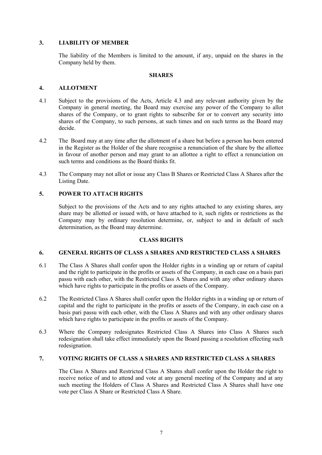# **3. LIABILITY OF MEMBER**

The liability of the Members is limited to the amount, if any, unpaid on the shares in the Company held by them.

# **SHARES**

# **4. ALLOTMENT**

- 4.1 Subject to the provisions of the Acts, Article 4.3 and any relevant authority given by the Company in general meeting, the Board may exercise any power of the Company to allot shares of the Company, or to grant rights to subscribe for or to convert any security into shares of the Company, to such persons, at such times and on such terms as the Board may decide.
- 4.2 The Board may at any time after the allotment of a share but before a person has been entered in the Register as the Holder of the share recognise a renunciation of the share by the allottee in favour of another person and may grant to an allottee a right to effect a renunciation on such terms and conditions as the Board thinks fit.
- 4.3 The Company may not allot or issue any Class B Shares or Restricted Class A Shares after the Listing Date.

# **5. POWER TO ATTACH RIGHTS**

Subject to the provisions of the Acts and to any rights attached to any existing shares, any share may be allotted or issued with, or have attached to it, such rights or restrictions as the Company may by ordinary resolution determine, or, subject to and in default of such determination, as the Board may determine.

# **CLASS RIGHTS**

## **6. GENERAL RIGHTS OF CLASS A SHARES AND RESTRICTED CLASS A SHARES**

- 6.1 The Class A Shares shall confer upon the Holder rights in a winding up or return of capital and the right to participate in the profits or assets of the Company, in each case on a basis pari passu with each other, with the Restricted Class A Shares and with any other ordinary shares which have rights to participate in the profits or assets of the Company.
- 6.2 The Restricted Class A Shares shall confer upon the Holder rights in a winding up or return of capital and the right to participate in the profits or assets of the Company, in each case on a basis pari passu with each other, with the Class A Shares and with any other ordinary shares which have rights to participate in the profits or assets of the Company.
- 6.3 Where the Company redesignates Restricted Class A Shares into Class A Shares such redesignation shall take effect immediately upon the Board passing a resolution effecting such redesignation.

# **7. VOTING RIGHTS OF CLASS A SHARES AND RESTRICTED CLASS A SHARES**

The Class A Shares and Restricted Class A Shares shall confer upon the Holder the right to receive notice of and to attend and vote at any general meeting of the Company and at any such meeting the Holders of Class A Shares and Restricted Class A Shares shall have one vote per Class A Share or Restricted Class A Share.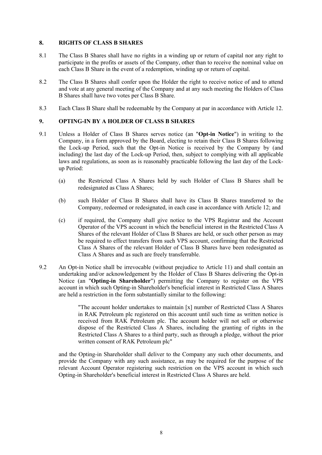# **8. RIGHTS OF CLASS B SHARES**

- 8.1 The Class B Shares shall have no rights in a winding up or return of capital nor any right to participate in the profits or assets of the Company, other than to receive the nominal value on each Class B Share in the event of a redemption, winding up or return of capital.
- 8.2 The Class B Shares shall confer upon the Holder the right to receive notice of and to attend and vote at any general meeting of the Company and at any such meeting the Holders of Class B Shares shall have two votes per Class B Share.
- 8.3 Each Class B Share shall be redeemable by the Company at par in accordance with Article 12.

# **9. OPTING-IN BY A HOLDER OF CLASS B SHARES**

- 9.1 Unless a Holder of Class B Shares serves notice (an "**Opt-in Notice**") in writing to the Company, in a form approved by the Board, electing to retain their Class B Shares following the Lock-up Period, such that the Opt-in Notice is received by the Company by (and including) the last day of the Lock-up Period, then, subject to complying with all applicable laws and regulations, as soon as is reasonably practicable following the last day of the Lockup Period:
	- (a) the Restricted Class A Shares held by such Holder of Class B Shares shall be redesignated as Class A Shares;
	- (b) such Holder of Class B Shares shall have its Class B Shares transferred to the Company, redeemed or redesignated, in each case in accordance with Article 12; and
	- (c) if required, the Company shall give notice to the VPS Registrar and the Account Operator of the VPS account in which the beneficial interest in the Restricted Class A Shares of the relevant Holder of Class B Shares are held, or such other person as may be required to effect transfers from such VPS account, confirming that the Restricted Class A Shares of the relevant Holder of Class B Shares have been redesignated as Class A Shares and as such are freely transferrable.
- 9.2 An Opt-in Notice shall be irrevocable (without prejudice to Article 11) and shall contain an undertaking and/or acknowledgement by the Holder of Class B Shares delivering the Opt-in Notice (an "**Opting-in Shareholder**") permitting the Company to register on the VPS account in which such Opting-in Shareholder's beneficial interest in Restricted Class A Shares are held a restriction in the form substantially similar to the following:

"The account holder undertakes to maintain [x] number of Restricted Class A Shares in RAK Petroleum plc registered on this account until such time as written notice is received from RAK Petroleum plc. The account holder will not sell or otherwise dispose of the Restricted Class A Shares, including the granting of rights in the Restricted Class A Shares to a third party, such as through a pledge, without the prior written consent of RAK Petroleum plc"

and the Opting-in Shareholder shall deliver to the Company any such other documents, and provide the Company with any such assistance, as may be required for the purpose of the relevant Account Operator registering such restriction on the VPS account in which such Opting-in Shareholder's beneficial interest in Restricted Class A Shares are held.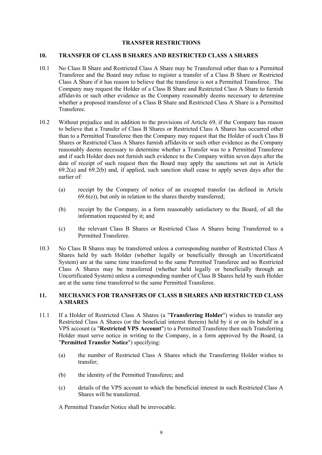#### **TRANSFER RESTRICTIONS**

#### **10. TRANSFER OF CLASS B SHARES AND RESTRICTED CLASS A SHARES**

- 10.1 No Class B Share and Restricted Class A Share may be Transferred other than to a Permitted Transferee and the Board may refuse to register a transfer of a Class B Share or Restricted Class A Share if it has reason to believe that the transferee is not a Permitted Transferee. The Company may request the Holder of a Class B Share and Restricted Class A Share to furnish affidavits or such other evidence as the Company reasonably deems necessary to determine whether a proposed transferee of a Class B Share and Restricted Class A Share is a Permitted Transferee.
- 10.2 Without prejudice and in addition to the provisions of Article 69, if the Company has reason to believe that a Transfer of Class B Shares or Restricted Class A Shares has occurred other than to a Permitted Transferee then the Company may request that the Holder of such Class B Shares or Restricted Class A Shares furnish affidavits or such other evidence as the Company reasonably deems necessary to determine whether a Transfer was to a Permitted Transferee and if such Holder does not furnish such evidence to the Company within seven days after the date of receipt of such request then the Board may apply the sanctions set out in Article 69.2(a) and 69.2(b) and, if applied, such sanction shall cease to apply seven days after the earlier of:
	- (a) receipt by the Company of notice of an excepted transfer (as defined in Article  $69.6(e)$ , but only in relation to the shares thereby transferred;
	- (b) receipt by the Company, in a form reasonably satisfactory to the Board, of all the information requested by it; and
	- (c) the relevant Class B Shares or Restricted Class A Shares being Transferred to a Permitted Transferee.
- 10.3 No Class B Shares may be transferred unless a corresponding number of Restricted Class A Shares held by such Holder (whether legally or beneficially through an Uncertificated System) are at the same time transferred to the same Permitted Transferee and no Restricted Class A Shares may be transferred (whether held legally or beneficially through an Uncertificated System) unless a corresponding number of Class B Shares held by such Holder are at the same time transferred to the same Permitted Transferee.

# **11. MECHANICS FOR TRANSFERS OF CLASS B SHARES AND RESTRICTED CLASS A SHARES**

- 11.1 If a Holder of Restricted Class A Shares (a "**Transferring Holder**") wishes to transfer any Restricted Class A Shares (or the beneficial interest therein) held by it or on its behalf in a VPS account (a "**Restricted VPS Account**") to a Permitted Transferee then such Transferring Holder must serve notice in writing to the Company, in a form approved by the Board, (a "**Permitted Transfer Notice**") specifying:
	- (a) the number of Restricted Class A Shares which the Transferring Holder wishes to transfer;
	- (b) the identity of the Permitted Transferee; and
	- (c) details of the VPS account to which the beneficial interest in such Restricted Class A Shares will be transferred.

A Permitted Transfer Notice shall be irrevocable.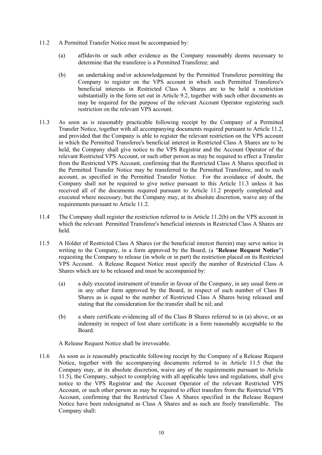- 11.2 A Permitted Transfer Notice must be accompanied by:
	- (a) affidavits or such other evidence as the Company reasonably deems necessary to determine that the transferee is a Permitted Transferee; and
	- (b) an undertaking and/or acknowledgement by the Permitted Transferee permitting the Company to register on the VPS account in which such Permitted Transferee's beneficial interests in Restricted Class A Shares are to be held a restriction substantially in the form set out in Article 9.2, together with such other documents as may be required for the purpose of the relevant Account Operator registering such restriction on the relevant VPS account.
- 11.3 As soon as is reasonably practicable following receipt by the Company of a Permitted Transfer Notice, together with all accompanying documents required pursuant to Article 11.2, and provided that the Company is able to register the relevant restriction on the VPS account in which the Permitted Transferee's beneficial interest in Restricted Class A Shares are to be held, the Company shall give notice to the VPS Registrar and the Account Operator of the relevant Restricted VPS Account, or such other person as may be required to effect a Transfer from the Restricted VPS Account, confirming that the Restricted Class A Shares specified in the Permitted Transfer Notice may be transferred to the Permitted Transferee, and to such account, as specified in the Permitted Transfer Notice. For the avoidance of doubt, the Company shall not be required to give notice pursuant to this Article 11.3 unless it has received all of the documents required pursuant to Article 11.2 properly completed and executed where necessary, but the Company may, at its absolute discretion, waive any of the requirements pursuant to Article 11.2.
- 11.4 The Company shall register the restriction referred to in Article 11.2(b) on the VPS account in which the relevant Permitted Transferee's beneficial interests in Restricted Class A Shares are held.
- 11.5 A Holder of Restricted Class A Shares (or the beneficial interest therein) may serve notice in writing to the Company, in a form approved by the Board, (a "**Release Request Notice**") requesting the Company to release (in whole or in part) the restriction placed on its Restricted VPS Account. A Release Request Notice must specify the number of Restricted Class A Shares which are to be released and must be accompanied by:
	- (a) a duly executed instrument of transfer in favour of the Company, in any usual form or in any other form approved by the Board, in respect of such number of Class B Shares as is equal to the number of Restricted Class A Shares being released and stating that the consideration for the transfer shall be nil; and
	- (b) a share certificate evidencing all of the Class B Shares referred to in (a) above, or an indemnity in respect of lost share certificate in a form reasonably acceptable to the Board.

A Release Request Notice shall be irrevocable.

11.6 As soon as is reasonably practicable following receipt by the Company of a Release Request Notice, together with the accompanying documents referred to in Article 11.5 (but the Company may, at its absolute discretion, waive any of the requirements pursuant to Article 11.5), the Company, subject to complying with all applicable laws and regulations, shall give notice to the VPS Registrar and the Account Operator of the relevant Restricted VPS Account, or such other person as may be required to effect transfers from the Restricted VPS Account, confirming that the Restricted Class A Shares specified in the Release Request Notice have been redesignated as Class A Shares and as such are freely transferrable. The Company shall: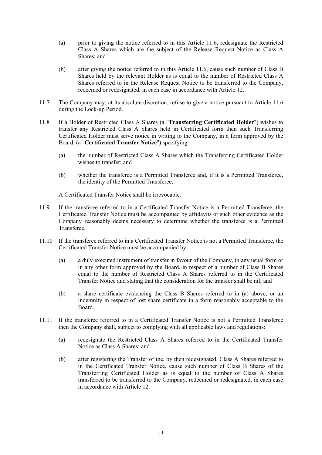- (a) prior to giving the notice referred to in this Article 11.6, redesignate the Restricted Class A Shares which are the subject of the Release Request Notice as Class A Shares; and
- (b) after giving the notice referred to in this Article 11.6, cause such number of Class B Shares held by the relevant Holder as is equal to the number of Restricted Class A Shares referred to in the Release Request Notice to be transferred to the Company, redeemed or redesignated, in each case in accordance with Article 12.
- 11.7 The Company may, at its absolute discretion, refuse to give a notice pursuant to Article 11.6 during the Lock-up Period.
- 11.8 If a Holder of Restricted Class A Shares (a "**Transferring Certificated Holder**") wishes to transfer any Restricted Class A Shares held in Certificated form then such Transferring Certificated Holder must serve notice in writing to the Company, in a form approved by the Board, (a "**Certificated Transfer Notice**") specifying:
	- (a) the number of Restricted Class A Shares which the Transferring Certificated Holder wishes to transfer; and
	- (b) whether the transferee is a Permitted Transferee and, if it is a Permitted Transferee, the identity of the Permitted Transferee.

A Certificated Transfer Notice shall be irrevocable.

- 11.9 If the transferee referred to in a Certificated Transfer Notice is a Permitted Transferee, the Certificated Transfer Notice must be accompanied by affidavits or such other evidence as the Company reasonably deems necessary to determine whether the transferee is a Permitted Transferee.
- 11.10 If the transferee referred to in a Certificated Transfer Notice is not a Permitted Transferee, the Certificated Transfer Notice must be accompanied by:
	- (a) a duly executed instrument of transfer in favour of the Company, in any usual form or in any other form approved by the Board, in respect of a number of Class B Shares equal to the number of Restricted Class A Shares referred to in the Certificated Transfer Notice and stating that the consideration for the transfer shall be nil; and
	- (b) a share certificate evidencing the Class B Shares referred to in (a) above, or an indemnity in respect of lost share certificate in a form reasonably acceptable to the Board.
- 11.11 If the transferee referred to in a Certificated Transfer Notice is not a Permitted Transferee then the Company shall, subject to complying with all applicable laws and regulations:
	- (a) redesignate the Restricted Class A Shares referred to in the Certificated Transfer Notice as Class A Shares; and
	- (b) after registering the Transfer of the, by then redesignated, Class A Shares referred to in the Certificated Transfer Notice, cause such number of Class B Shares of the Transferring Certificated Holder as is equal to the number of Class A Shares transferred to be transferred to the Company, redeemed or redesignated, in each case in accordance with Article 12.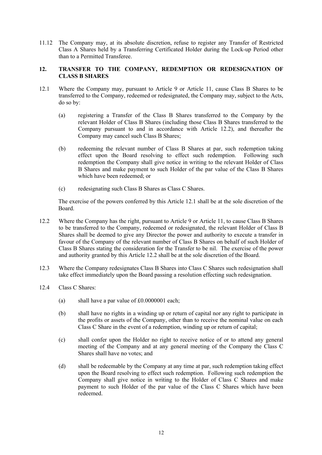11.12 The Company may, at its absolute discretion, refuse to register any Transfer of Restricted Class A Shares held by a Transferring Certificated Holder during the Lock-up Period other than to a Permitted Transferee.

# **12. TRANSFER TO THE COMPANY, REDEMPTION OR REDESIGNATION OF CLASS B SHARES**

- 12.1 Where the Company may, pursuant to Article 9 or Article 11, cause Class B Shares to be transferred to the Company, redeemed or redesignated, the Company may, subject to the Acts, do so by:
	- (a) registering a Transfer of the Class B Shares transferred to the Company by the relevant Holder of Class B Shares (including those Class B Shares transferred to the Company pursuant to and in accordance with Article 12.2), and thereafter the Company may cancel such Class B Shares;
	- (b) redeeming the relevant number of Class B Shares at par, such redemption taking effect upon the Board resolving to effect such redemption. Following such redemption the Company shall give notice in writing to the relevant Holder of Class B Shares and make payment to such Holder of the par value of the Class B Shares which have been redeemed; or
	- (c) redesignating such Class B Shares as Class C Shares.

The exercise of the powers conferred by this Article 12.1 shall be at the sole discretion of the Board.

- 12.2 Where the Company has the right, pursuant to Article 9 or Article 11, to cause Class B Shares to be transferred to the Company, redeemed or redesignated, the relevant Holder of Class B Shares shall be deemed to give any Director the power and authority to execute a transfer in favour of the Company of the relevant number of Class B Shares on behalf of such Holder of Class B Shares stating the consideration for the Transfer to be nil. The exercise of the power and authority granted by this Article 12.2 shall be at the sole discretion of the Board.
- 12.3 Where the Company redesignates Class B Shares into Class C Shares such redesignation shall take effect immediately upon the Board passing a resolution effecting such redesignation.
- 12.4 Class C Shares:
	- (a) shall have a par value of  $£0.0000001$  each;
	- (b) shall have no rights in a winding up or return of capital nor any right to participate in the profits or assets of the Company, other than to receive the nominal value on each Class C Share in the event of a redemption, winding up or return of capital;
	- (c) shall confer upon the Holder no right to receive notice of or to attend any general meeting of the Company and at any general meeting of the Company the Class C Shares shall have no votes; and
	- (d) shall be redeemable by the Company at any time at par, such redemption taking effect upon the Board resolving to effect such redemption. Following such redemption the Company shall give notice in writing to the Holder of Class C Shares and make payment to such Holder of the par value of the Class C Shares which have been redeemed.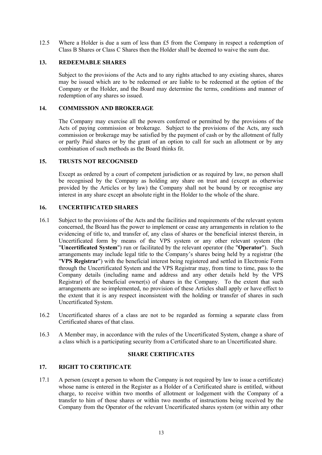12.5 Where a Holder is due a sum of less than £5 from the Company in respect a redemption of Class B Shares or Class C Shares then the Holder shall be deemed to waive the sum due.

# **13. REDEEMABLE SHARES**

Subject to the provisions of the Acts and to any rights attached to any existing shares, shares may be issued which are to be redeemed or are liable to be redeemed at the option of the Company or the Holder, and the Board may determine the terms, conditions and manner of redemption of any shares so issued.

# **14. COMMISSION AND BROKERAGE**

The Company may exercise all the powers conferred or permitted by the provisions of the Acts of paying commission or brokerage. Subject to the provisions of the Acts, any such commission or brokerage may be satisfied by the payment of cash or by the allotment of fully or partly Paid shares or by the grant of an option to call for such an allotment or by any combination of such methods as the Board thinks fit.

## **15. TRUSTS NOT RECOGNISED**

Except as ordered by a court of competent jurisdiction or as required by law, no person shall be recognised by the Company as holding any share on trust and (except as otherwise provided by the Articles or by law) the Company shall not be bound by or recognise any interest in any share except an absolute right in the Holder to the whole of the share.

# **16. UNCERTIFICATED SHARES**

- 16.1 Subject to the provisions of the Acts and the facilities and requirements of the relevant system concerned, the Board has the power to implement or cease any arrangements in relation to the evidencing of title to, and transfer of, any class of shares or the beneficial interest therein, in Uncertificated form by means of the VPS system or any other relevant system (the "**Uncertificated System**") run or facilitated by the relevant operator (the "**Operator**"). Such arrangements may include legal title to the Company's shares being held by a registrar (the "**VPS Registrar**") with the beneficial interest being registered and settled in Electronic Form through the Uncertificated System and the VPS Registrar may, from time to time, pass to the Company details (including name and address and any other details held by the VPS Registrar) of the beneficial owner(s) of shares in the Company. To the extent that such arrangements are so implemented, no provision of these Articles shall apply or have effect to the extent that it is any respect inconsistent with the holding or transfer of shares in such Uncertificated System.
- 16.2 Uncertificated shares of a class are not to be regarded as forming a separate class from Certificated shares of that class.
- 16.3 A Member may, in accordance with the rules of the Uncertificated System, change a share of a class which is a participating security from a Certificated share to an Uncertificated share.

## **SHARE CERTIFICATES**

# **17. RIGHT TO CERTIFICATE**

17.1 A person (except a person to whom the Company is not required by law to issue a certificate) whose name is entered in the Register as a Holder of a Certificated share is entitled, without charge, to receive within two months of allotment or lodgement with the Company of a transfer to him of those shares or within two months of instructions being received by the Company from the Operator of the relevant Uncertificated shares system (or within any other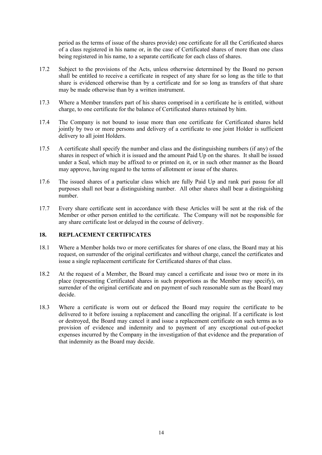period as the terms of issue of the shares provide) one certificate for all the Certificated shares of a class registered in his name or, in the case of Certificated shares of more than one class being registered in his name, to a separate certificate for each class of shares.

- 17.2 Subject to the provisions of the Acts, unless otherwise determined by the Board no person shall be entitled to receive a certificate in respect of any share for so long as the title to that share is evidenced otherwise than by a certificate and for so long as transfers of that share may be made otherwise than by a written instrument.
- 17.3 Where a Member transfers part of his shares comprised in a certificate he is entitled, without charge, to one certificate for the balance of Certificated shares retained by him.
- 17.4 The Company is not bound to issue more than one certificate for Certificated shares held jointly by two or more persons and delivery of a certificate to one joint Holder is sufficient delivery to all joint Holders.
- 17.5 A certificate shall specify the number and class and the distinguishing numbers (if any) of the shares in respect of which it is issued and the amount Paid Up on the shares. It shall be issued under a Seal, which may be affixed to or printed on it, or in such other manner as the Board may approve, having regard to the terms of allotment or issue of the shares.
- 17.6 The issued shares of a particular class which are fully Paid Up and rank pari passu for all purposes shall not bear a distinguishing number. All other shares shall bear a distinguishing number.
- 17.7 Every share certificate sent in accordance with these Articles will be sent at the risk of the Member or other person entitled to the certificate. The Company will not be responsible for any share certificate lost or delayed in the course of delivery.

# **18. REPLACEMENT CERTIFICATES**

- 18.1 Where a Member holds two or more certificates for shares of one class, the Board may at his request, on surrender of the original certificates and without charge, cancel the certificates and issue a single replacement certificate for Certificated shares of that class.
- 18.2 At the request of a Member, the Board may cancel a certificate and issue two or more in its place (representing Certificated shares in such proportions as the Member may specify), on surrender of the original certificate and on payment of such reasonable sum as the Board may decide.
- 18.3 Where a certificate is worn out or defaced the Board may require the certificate to be delivered to it before issuing a replacement and cancelling the original. If a certificate is lost or destroyed, the Board may cancel it and issue a replacement certificate on such terms as to provision of evidence and indemnity and to payment of any exceptional out-of-pocket expenses incurred by the Company in the investigation of that evidence and the preparation of that indemnity as the Board may decide.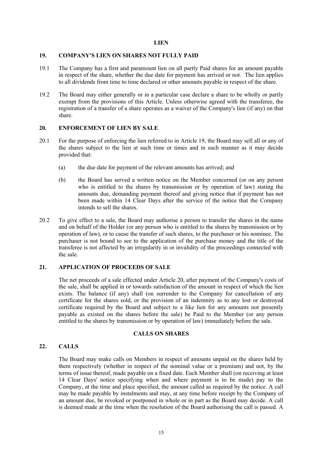#### **LIEN**

#### **19. COMPANY'S LIEN ON SHARES NOT FULLY PAID**

- 19.1 The Company has a first and paramount lien on all partly Paid shares for an amount payable in respect of the share, whether the due date for payment has arrived or not. The lien applies to all dividends from time to time declared or other amounts payable in respect of the share.
- 19.2 The Board may either generally or in a particular case declare a share to be wholly or partly exempt from the provisions of this Article. Unless otherwise agreed with the transferee, the registration of a transfer of a share operates as a waiver of the Company's lien (if any) on that share.

#### **20. ENFORCEMENT OF LIEN BY SALE**

- 20.1 For the purpose of enforcing the lien referred to in Article 19, the Board may sell all or any of the shares subject to the lien at such time or times and in such manner as it may decide provided that:
	- (a) the due date for payment of the relevant amounts has arrived; and
	- (b) the Board has served a written notice on the Member concerned (or on any person who is entitled to the shares by transmission or by operation of law) stating the amounts due, demanding payment thereof and giving notice that if payment has not been made within 14 Clear Days after the service of the notice that the Company intends to sell the shares.
- 20.2 To give effect to a sale, the Board may authorise a person to transfer the shares in the name and on behalf of the Holder (or any person who is entitled to the shares by transmission or by operation of law), or to cause the transfer of such shares, to the purchaser or his nominee. The purchaser is not bound to see to the application of the purchase money and the title of the transferee is not affected by an irregularity in or invalidity of the proceedings connected with the sale.

#### **21. APPLICATION OF PROCEEDS OF SALE**

The net proceeds of a sale effected under Article 20, after payment of the Company's costs of the sale, shall be applied in or towards satisfaction of the amount in respect of which the lien exists. The balance (if any) shall (on surrender to the Company for cancellation of any certificate for the shares sold, or the provision of an indemnity as to any lost or destroyed certificate required by the Board and subject to a like lien for any amounts not presently payable as existed on the shares before the sale) be Paid to the Member (or any person entitled to the shares by transmission or by operation of law) immediately before the sale.

#### **CALLS ON SHARES**

## **22. CALLS**

The Board may make calls on Members in respect of amounts unpaid on the shares held by them respectively (whether in respect of the nominal value or a premium) and not, by the terms of issue thereof, made payable on a fixed date. Each Member shall (on receiving at least 14 Clear Days' notice specifying when and where payment is to be made) pay to the Company, at the time and place specified, the amount called as required by the notice. A call may be made payable by instalments and may, at any time before receipt by the Company of an amount due, be revoked or postponed in whole or in part as the Board may decide. A call is deemed made at the time when the resolution of the Board authorising the call is passed. A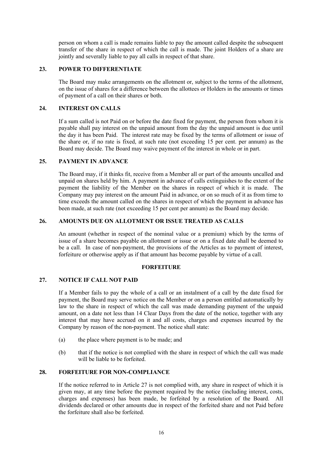person on whom a call is made remains liable to pay the amount called despite the subsequent transfer of the share in respect of which the call is made. The joint Holders of a share are jointly and severally liable to pay all calls in respect of that share.

# **23. POWER TO DIFFERENTIATE**

The Board may make arrangements on the allotment or, subject to the terms of the allotment, on the issue of shares for a difference between the allottees or Holders in the amounts or times of payment of a call on their shares or both.

## **24. INTEREST ON CALLS**

If a sum called is not Paid on or before the date fixed for payment, the person from whom it is payable shall pay interest on the unpaid amount from the day the unpaid amount is due until the day it has been Paid. The interest rate may be fixed by the terms of allotment or issue of the share or, if no rate is fixed, at such rate (not exceeding 15 per cent. per annum) as the Board may decide. The Board may waive payment of the interest in whole or in part.

# **25. PAYMENT IN ADVANCE**

The Board may, if it thinks fit, receive from a Member all or part of the amounts uncalled and unpaid on shares held by him. A payment in advance of calls extinguishes to the extent of the payment the liability of the Member on the shares in respect of which it is made. The Company may pay interest on the amount Paid in advance, or on so much of it as from time to time exceeds the amount called on the shares in respect of which the payment in advance has been made, at such rate (not exceeding 15 per cent per annum) as the Board may decide.

# **26. AMOUNTS DUE ON ALLOTMENT OR ISSUE TREATED AS CALLS**

An amount (whether in respect of the nominal value or a premium) which by the terms of issue of a share becomes payable on allotment or issue or on a fixed date shall be deemed to be a call. In case of non-payment, the provisions of the Articles as to payment of interest, forfeiture or otherwise apply as if that amount has become payable by virtue of a call.

## **FORFEITURE**

## **27. NOTICE IF CALL NOT PAID**

If a Member fails to pay the whole of a call or an instalment of a call by the date fixed for payment, the Board may serve notice on the Member or on a person entitled automatically by law to the share in respect of which the call was made demanding payment of the unpaid amount, on a date not less than 14 Clear Days from the date of the notice, together with any interest that may have accrued on it and all costs, charges and expenses incurred by the Company by reason of the non-payment. The notice shall state:

- (a) the place where payment is to be made; and
- (b) that if the notice is not complied with the share in respect of which the call was made will be liable to be forfeited.

# **28. FORFEITURE FOR NON-COMPLIANCE**

If the notice referred to in Article 27 is not complied with, any share in respect of which it is given may, at any time before the payment required by the notice (including interest, costs, charges and expenses) has been made, be forfeited by a resolution of the Board. All dividends declared or other amounts due in respect of the forfeited share and not Paid before the forfeiture shall also be forfeited.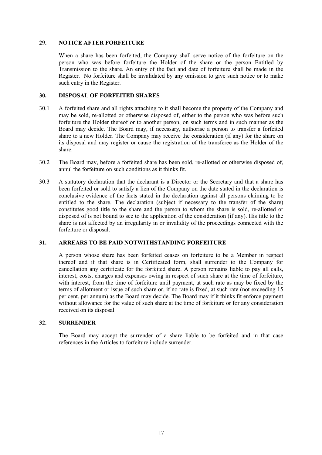#### **29. NOTICE AFTER FORFEITURE**

When a share has been forfeited, the Company shall serve notice of the forfeiture on the person who was before forfeiture the Holder of the share or the person Entitled by Transmission to the share. An entry of the fact and date of forfeiture shall be made in the Register. No forfeiture shall be invalidated by any omission to give such notice or to make such entry in the Register.

## **30. DISPOSAL OF FORFEITED SHARES**

- 30.1 A forfeited share and all rights attaching to it shall become the property of the Company and may be sold, re-allotted or otherwise disposed of, either to the person who was before such forfeiture the Holder thereof or to another person, on such terms and in such manner as the Board may decide. The Board may, if necessary, authorise a person to transfer a forfeited share to a new Holder. The Company may receive the consideration (if any) for the share on its disposal and may register or cause the registration of the transferee as the Holder of the share.
- 30.2 The Board may, before a forfeited share has been sold, re-allotted or otherwise disposed of, annul the forfeiture on such conditions as it thinks fit.
- 30.3 A statutory declaration that the declarant is a Director or the Secretary and that a share has been forfeited or sold to satisfy a lien of the Company on the date stated in the declaration is conclusive evidence of the facts stated in the declaration against all persons claiming to be entitled to the share. The declaration (subject if necessary to the transfer of the share) constitutes good title to the share and the person to whom the share is sold, re-allotted or disposed of is not bound to see to the application of the consideration (if any). His title to the share is not affected by an irregularity in or invalidity of the proceedings connected with the forfeiture or disposal.

# **31. ARREARS TO BE PAID NOTWITHSTANDING FORFEITURE**

A person whose share has been forfeited ceases on forfeiture to be a Member in respect thereof and if that share is in Certificated form, shall surrender to the Company for cancellation any certificate for the forfeited share. A person remains liable to pay all calls, interest, costs, charges and expenses owing in respect of such share at the time of forfeiture, with interest, from the time of forfeiture until payment, at such rate as may be fixed by the terms of allotment or issue of such share or, if no rate is fixed, at such rate (not exceeding 15 per cent. per annum) as the Board may decide. The Board may if it thinks fit enforce payment without allowance for the value of such share at the time of forfeiture or for any consideration received on its disposal.

#### **32. SURRENDER**

The Board may accept the surrender of a share liable to be forfeited and in that case references in the Articles to forfeiture include surrender.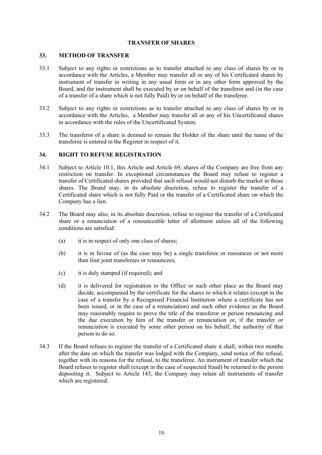## **TRANSFER OF SHARES**

#### **33. METHOD OF TRANSFER**

- 33.1 Subject to any rights or restrictions as to transfer attached to any class of shares by or in accordance with the Articles, a Member may transfer all or any of his Certificated shares by instrument of transfer in writing in any usual form or in any other form approved by the Board, and the instrument shall be executed by or on behalf of the transferor and (in the case of a transfer of a share which is not fully Paid) by or on behalf of the transferee.
- 33.2 Subject to any rights or restrictions as to transfer attached to any class of shares by or in accordance with the Articles, a Member may transfer all or any of his Uncertificated shares in accordance with the rules of the Uncertificated System.
- 33.3 The transferor of a share is deemed to remain the Holder of the share until the name of the transferee is entered in the Register in respect of it.

#### **34. RIGHT TO REFUSE REGISTRATION**

- 34.1 Subject to Article 10.1, this Article and Article 69, shares of the Company are free from any restriction on transfer. In exceptional circumstances the Board may refuse to register a transfer of Certificated shares provided that such refusal would not disturb the market in those shares. The Board may, in its absolute discretion, refuse to register the transfer of a Certificated share which is not fully Paid or the transfer of a Certificated share on which the Company has a lien.
- 34.2 The Board may also, in its absolute discretion, refuse to register the transfer of a Certificated share or a renunciation of a renounceable letter of allotment unless all of the following conditions are satisfied:
	- (a) it is in respect of only one class of shares;
	- (b) it is in favour of (as the case may be) a single transferee or renouncee or not more than four joint transferees or renouncees:
	- (c) it is duly stamped (if required); and
	- (d) it is delivered for registration to the Office or such other place as the Board may decide, accompanied by the certificate for the shares to which it relates (except in the case of a transfer by a Recognised Financial Institution where a certificate has not been issued, or in the case of a renunciation) and such other evidence as the Board may reasonably require to prove the title of the transferor or person renouncing and the due execution by him of the transfer or renunciation or, if the transfer or renunciation is executed by some other person on his behalf, the authority of that person to do so.
- 34.3 If the Board refuses to register the transfer of a Certificated share it shall, within two months after the date on which the transfer was lodged with the Company, send notice of the refusal, together with its reasons for the refusal, to the transferee. An instrument of transfer which the Board refuses to register shall (except in the case of suspected fraud) be returned to the person depositing it. Subject to Article 143, the Company may retain all instruments of transfer which are registered.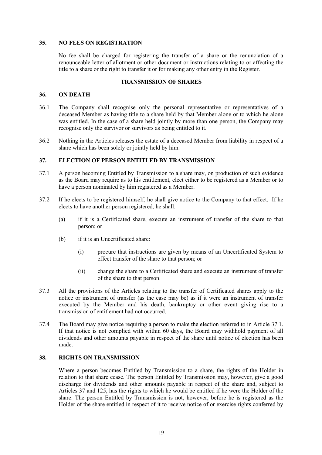## **35. NO FEES ON REGISTRATION**

No fee shall be charged for registering the transfer of a share or the renunciation of a renounceable letter of allotment or other document or instructions relating to or affecting the title to a share or the right to transfer it or for making any other entry in the Register.

#### **TRANSMISSION OF SHARES**

#### **36. ON DEATH**

- 36.1 The Company shall recognise only the personal representative or representatives of a deceased Member as having title to a share held by that Member alone or to which he alone was entitled. In the case of a share held jointly by more than one person, the Company may recognise only the survivor or survivors as being entitled to it.
- 36.2 Nothing in the Articles releases the estate of a deceased Member from liability in respect of a share which has been solely or jointly held by him.

# **37. ELECTION OF PERSON ENTITLED BY TRANSMISSION**

- 37.1 A person becoming Entitled by Transmission to a share may, on production of such evidence as the Board may require as to his entitlement, elect either to be registered as a Member or to have a person nominated by him registered as a Member.
- 37.2 If he elects to be registered himself, he shall give notice to the Company to that effect. If he elects to have another person registered, he shall:
	- (a) if it is a Certificated share, execute an instrument of transfer of the share to that person; or
	- (b) if it is an Uncertificated share:
		- (i) procure that instructions are given by means of an Uncertificated System to effect transfer of the share to that person; or
		- (ii) change the share to a Certificated share and execute an instrument of transfer of the share to that person.
- 37.3 All the provisions of the Articles relating to the transfer of Certificated shares apply to the notice or instrument of transfer (as the case may be) as if it were an instrument of transfer executed by the Member and his death, bankruptcy or other event giving rise to a transmission of entitlement had not occurred.
- 37.4 The Board may give notice requiring a person to make the election referred to in Article 37.1. If that notice is not complied with within 60 days, the Board may withhold payment of all dividends and other amounts payable in respect of the share until notice of election has been made.

# **38. RIGHTS ON TRANSMISSION**

Where a person becomes Entitled by Transmission to a share, the rights of the Holder in relation to that share cease. The person Entitled by Transmission may, however, give a good discharge for dividends and other amounts payable in respect of the share and, subject to Articles 37 and 125, has the rights to which he would be entitled if he were the Holder of the share. The person Entitled by Transmission is not, however, before he is registered as the Holder of the share entitled in respect of it to receive notice of or exercise rights conferred by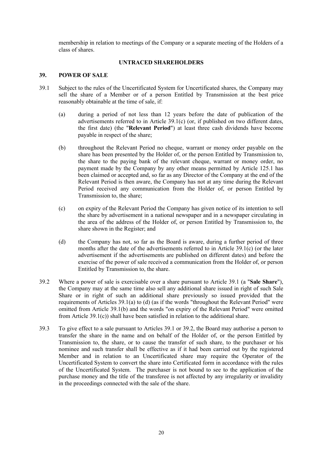membership in relation to meetings of the Company or a separate meeting of the Holders of a class of shares.

## **UNTRACED SHAREHOLDERS**

#### **39. POWER OF SALE**

- 39.1 Subject to the rules of the Uncertificated System for Uncertificated shares, the Company may sell the share of a Member or of a person Entitled by Transmission at the best price reasonably obtainable at the time of sale, if:
	- (a) during a period of not less than 12 years before the date of publication of the advertisements referred to in Article 39.1(c) (or, if published on two different dates, the first date) (the "**Relevant Period**") at least three cash dividends have become payable in respect of the share;
	- (b) throughout the Relevant Period no cheque, warrant or money order payable on the share has been presented by the Holder of, or the person Entitled by Transmission to, the share to the paying bank of the relevant cheque, warrant or money order, no payment made by the Company by any other means permitted by Article 125.1 has been claimed or accepted and, so far as any Director of the Company at the end of the Relevant Period is then aware, the Company has not at any time during the Relevant Period received any communication from the Holder of, or person Entitled by Transmission to, the share;
	- (c) on expiry of the Relevant Period the Company has given notice of its intention to sell the share by advertisement in a national newspaper and in a newspaper circulating in the area of the address of the Holder of, or person Entitled by Transmission to, the share shown in the Register; and
	- (d) the Company has not, so far as the Board is aware, during a further period of three months after the date of the advertisements referred to in Article  $39.1(c)$  (or the later advertisement if the advertisements are published on different dates) and before the exercise of the power of sale received a communication from the Holder of, or person Entitled by Transmission to, the share.
- 39.2 Where a power of sale is exercisable over a share pursuant to Article 39.1 (a "**Sale Share**"), the Company may at the same time also sell any additional share issued in right of such Sale Share or in right of such an additional share previously so issued provided that the requirements of Articles 39.1(a) to (d) (as if the words "throughout the Relevant Period" were omitted from Article 39.1(b) and the words "on expiry of the Relevant Period" were omitted from Article 39.1(c)) shall have been satisfied in relation to the additional share.
- 39.3 To give effect to a sale pursuant to Articles 39.1 or 39.2, the Board may authorise a person to transfer the share in the name and on behalf of the Holder of, or the person Entitled by Transmission to, the share, or to cause the transfer of such share, to the purchaser or his nominee and such transfer shall be effective as if it had been carried out by the registered Member and in relation to an Uncertificated share may require the Operator of the Uncertificated System to convert the share into Certificated form in accordance with the rules of the Uncertificated System. The purchaser is not bound to see to the application of the purchase money and the title of the transferee is not affected by any irregularity or invalidity in the proceedings connected with the sale of the share.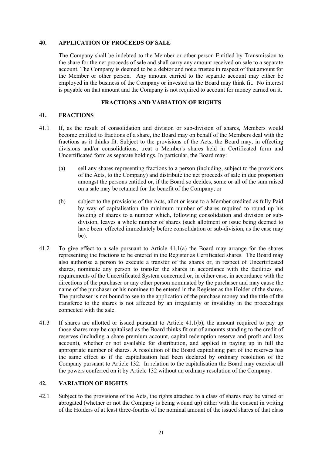#### **40. APPLICATION OF PROCEEDS OF SALE**

The Company shall be indebted to the Member or other person Entitled by Transmission to the share for the net proceeds of sale and shall carry any amount received on sale to a separate account. The Company is deemed to be a debtor and not a trustee in respect of that amount for the Member or other person. Any amount carried to the separate account may either be employed in the business of the Company or invested as the Board may think fit. No interest is payable on that amount and the Company is not required to account for money earned on it.

## **FRACTIONS AND VARIATION OF RIGHTS**

# **41. FRACTIONS**

- 41.1 If, as the result of consolidation and division or sub-division of shares, Members would become entitled to fractions of a share, the Board may on behalf of the Members deal with the fractions as it thinks fit. Subject to the provisions of the Acts, the Board may, in effecting divisions and/or consolidations, treat a Member's shares held in Certificated form and Uncertificated form as separate holdings. In particular, the Board may:
	- (a) sell any shares representing fractions to a person (including, subject to the provisions of the Acts, to the Company) and distribute the net proceeds of sale in due proportion amongst the persons entitled or, if the Board so decides, some or all of the sum raised on a sale may be retained for the benefit of the Company; or
	- (b) subject to the provisions of the Acts, allot or issue to a Member credited as fully Paid by way of capitalisation the minimum number of shares required to round up his holding of shares to a number which, following consolidation and division or subdivision, leaves a whole number of shares (such allotment or issue being deemed to have been effected immediately before consolidation or sub-division, as the case may be).
- 41.2 To give effect to a sale pursuant to Article 41.1(a) the Board may arrange for the shares representing the fractions to be entered in the Register as Certificated shares. The Board may also authorise a person to execute a transfer of the shares or, in respect of Uncertificated shares, nominate any person to transfer the shares in accordance with the facilities and requirements of the Uncertificated System concerned or, in either case, in accordance with the directions of the purchaser or any other person nominated by the purchaser and may cause the name of the purchaser or his nominee to be entered in the Register as the Holder of the shares. The purchaser is not bound to see to the application of the purchase money and the title of the transferee to the shares is not affected by an irregularity or invalidity in the proceedings connected with the sale.
- 41.3 If shares are allotted or issued pursuant to Article 41.1(b), the amount required to pay up those shares may be capitalised as the Board thinks fit out of amounts standing to the credit of reserves (including a share premium account, capital redemption reserve and profit and loss account), whether or not available for distribution, and applied in paying up in full the appropriate number of shares. A resolution of the Board capitalising part of the reserves has the same effect as if the capitalisation had been declared by ordinary resolution of the Company pursuant to Article 132. In relation to the capitalisation the Board may exercise all the powers conferred on it by Article 132 without an ordinary resolution of the Company.

## **42. VARIATION OF RIGHTS**

42.1 Subject to the provisions of the Acts, the rights attached to a class of shares may be varied or abrogated (whether or not the Company is being wound up) either with the consent in writing of the Holders of at least three-fourths of the nominal amount of the issued shares of that class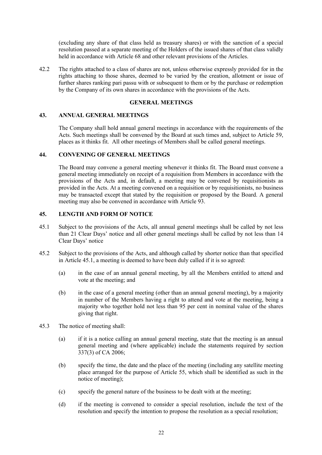(excluding any share of that class held as treasury shares) or with the sanction of a special resolution passed at a separate meeting of the Holders of the issued shares of that class validly held in accordance with Article 68 and other relevant provisions of the Articles.

42.2 The rights attached to a class of shares are not, unless otherwise expressly provided for in the rights attaching to those shares, deemed to be varied by the creation, allotment or issue of further shares ranking pari passu with or subsequent to them or by the purchase or redemption by the Company of its own shares in accordance with the provisions of the Acts.

## **GENERAL MEETINGS**

# **43. ANNUAL GENERAL MEETINGS**

The Company shall hold annual general meetings in accordance with the requirements of the Acts. Such meetings shall be convened by the Board at such times and, subject to Article 59, places as it thinks fit. All other meetings of Members shall be called general meetings.

## **44. CONVENING OF GENERAL MEETINGS**

The Board may convene a general meeting whenever it thinks fit. The Board must convene a general meeting immediately on receipt of a requisition from Members in accordance with the provisions of the Acts and, in default, a meeting may be convened by requisitionists as provided in the Acts. At a meeting convened on a requisition or by requisitionists, no business may be transacted except that stated by the requisition or proposed by the Board. A general meeting may also be convened in accordance with Article 93.

#### **45. LENGTH AND FORM OF NOTICE**

- 45.1 Subject to the provisions of the Acts, all annual general meetings shall be called by not less than 21 Clear Days' notice and all other general meetings shall be called by not less than 14 Clear Days' notice
- 45.2 Subject to the provisions of the Acts, and although called by shorter notice than that specified in Article 45.1, a meeting is deemed to have been duly called if it is so agreed:
	- (a) in the case of an annual general meeting, by all the Members entitled to attend and vote at the meeting; and
	- (b) in the case of a general meeting (other than an annual general meeting), by a majority in number of the Members having a right to attend and vote at the meeting, being a majority who together hold not less than 95 per cent in nominal value of the shares giving that right.
- 45.3 The notice of meeting shall:
	- (a) if it is a notice calling an annual general meeting, state that the meeting is an annual general meeting and (where applicable) include the statements required by section 337(3) of CA 2006;
	- (b) specify the time, the date and the place of the meeting (including any satellite meeting place arranged for the purpose of Article 55, which shall be identified as such in the notice of meeting);
	- (c) specify the general nature of the business to be dealt with at the meeting;
	- (d) if the meeting is convened to consider a special resolution, include the text of the resolution and specify the intention to propose the resolution as a special resolution;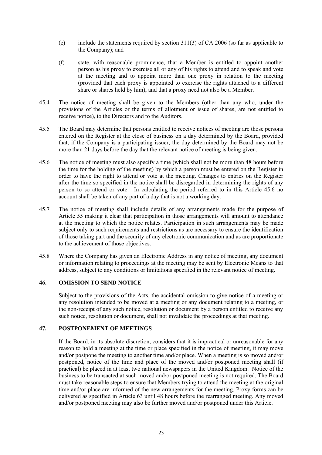- (e) include the statements required by section 311(3) of CA 2006 (so far as applicable to the Company); and
- (f) state, with reasonable prominence, that a Member is entitled to appoint another person as his proxy to exercise all or any of his rights to attend and to speak and vote at the meeting and to appoint more than one proxy in relation to the meeting (provided that each proxy is appointed to exercise the rights attached to a different share or shares held by him), and that a proxy need not also be a Member.
- 45.4 The notice of meeting shall be given to the Members (other than any who, under the provisions of the Articles or the terms of allotment or issue of shares, are not entitled to receive notice), to the Directors and to the Auditors.
- 45.5 The Board may determine that persons entitled to receive notices of meeting are those persons entered on the Register at the close of business on a day determined by the Board, provided that, if the Company is a participating issuer, the day determined by the Board may not be more than 21 days before the day that the relevant notice of meeting is being given.
- 45.6 The notice of meeting must also specify a time (which shall not be more than 48 hours before the time for the holding of the meeting) by which a person must be entered on the Register in order to have the right to attend or vote at the meeting. Changes to entries on the Register after the time so specified in the notice shall be disregarded in determining the rights of any person to so attend or vote. In calculating the period referred to in this Article 45.6 no account shall be taken of any part of a day that is not a working day.
- 45.7 The notice of meeting shall include details of any arrangements made for the purpose of Article 55 making it clear that participation in those arrangements will amount to attendance at the meeting to which the notice relates. Participation in such arrangements may be made subject only to such requirements and restrictions as are necessary to ensure the identification of those taking part and the security of any electronic communication and as are proportionate to the achievement of those objectives.
- 45.8 Where the Company has given an Electronic Address in any notice of meeting, any document or information relating to proceedings at the meeting may be sent by Electronic Means to that address, subject to any conditions or limitations specified in the relevant notice of meeting.

# **46. OMISSION TO SEND NOTICE**

Subject to the provisions of the Acts, the accidental omission to give notice of a meeting or any resolution intended to be moved at a meeting or any document relating to a meeting, or the non-receipt of any such notice, resolution or document by a person entitled to receive any such notice, resolution or document, shall not invalidate the proceedings at that meeting.

# **47. POSTPONEMENT OF MEETINGS**

If the Board, in its absolute discretion, considers that it is impractical or unreasonable for any reason to hold a meeting at the time or place specified in the notice of meeting, it may move and/or postpone the meeting to another time and/or place. When a meeting is so moved and/or postponed, notice of the time and place of the moved and/or postponed meeting shall (if practical) be placed in at least two national newspapers in the United Kingdom. Notice of the business to be transacted at such moved and/or postponed meeting is not required. The Board must take reasonable steps to ensure that Members trying to attend the meeting at the original time and/or place are informed of the new arrangements for the meeting. Proxy forms can be delivered as specified in Article 63 until 48 hours before the rearranged meeting. Any moved and/or postponed meeting may also be further moved and/or postponed under this Article.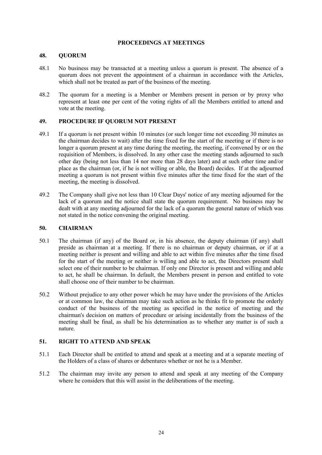## **PROCEEDINGS AT MEETINGS**

# **48. QUORUM**

- 48.1 No business may be transacted at a meeting unless a quorum is present. The absence of a quorum does not prevent the appointment of a chairman in accordance with the Articles, which shall not be treated as part of the business of the meeting.
- 48.2 The quorum for a meeting is a Member or Members present in person or by proxy who represent at least one per cent of the voting rights of all the Members entitled to attend and vote at the meeting.

# **49. PROCEDURE IF QUORUM NOT PRESENT**

- 49.1 If a quorum is not present within 10 minutes (or such longer time not exceeding 30 minutes as the chairman decides to wait) after the time fixed for the start of the meeting or if there is no longer a quorum present at any time during the meeting, the meeting, if convened by or on the requisition of Members, is dissolved. In any other case the meeting stands adjourned to such other day (being not less than 14 nor more than 28 days later) and at such other time and/or place as the chairman (or, if he is not willing or able, the Board) decides. If at the adjourned meeting a quorum is not present within five minutes after the time fixed for the start of the meeting, the meeting is dissolved.
- 49.2 The Company shall give not less than 10 Clear Days' notice of any meeting adjourned for the lack of a quorum and the notice shall state the quorum requirement. No business may be dealt with at any meeting adjourned for the lack of a quorum the general nature of which was not stated in the notice convening the original meeting.

# **50. CHAIRMAN**

- 50.1 The chairman (if any) of the Board or, in his absence, the deputy chairman (if any) shall preside as chairman at a meeting. If there is no chairman or deputy chairman, or if at a meeting neither is present and willing and able to act within five minutes after the time fixed for the start of the meeting or neither is willing and able to act, the Directors present shall select one of their number to be chairman. If only one Director is present and willing and able to act, he shall be chairman. In default, the Members present in person and entitled to vote shall choose one of their number to be chairman.
- 50.2 Without prejudice to any other power which he may have under the provisions of the Articles or at common law, the chairman may take such action as he thinks fit to promote the orderly conduct of the business of the meeting as specified in the notice of meeting and the chairman's decision on matters of procedure or arising incidentally from the business of the meeting shall be final, as shall be his determination as to whether any matter is of such a nature.

# **51. RIGHT TO ATTEND AND SPEAK**

- 51.1 Each Director shall be entitled to attend and speak at a meeting and at a separate meeting of the Holders of a class of shares or debentures whether or not he is a Member.
- 51.2 The chairman may invite any person to attend and speak at any meeting of the Company where he considers that this will assist in the deliberations of the meeting.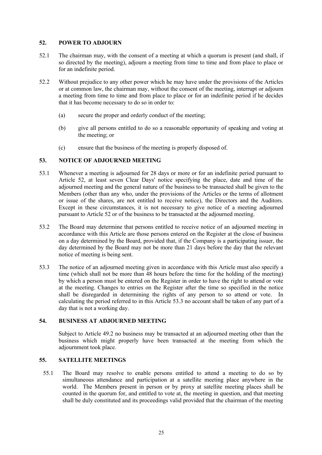## **52. POWER TO ADJOURN**

- 52.1 The chairman may, with the consent of a meeting at which a quorum is present (and shall, if so directed by the meeting), adjourn a meeting from time to time and from place to place or for an indefinite period.
- 52.2 Without prejudice to any other power which he may have under the provisions of the Articles or at common law, the chairman may, without the consent of the meeting, interrupt or adjourn a meeting from time to time and from place to place or for an indefinite period if he decides that it has become necessary to do so in order to:
	- (a) secure the proper and orderly conduct of the meeting;
	- (b) give all persons entitled to do so a reasonable opportunity of speaking and voting at the meeting; or
	- (c) ensure that the business of the meeting is properly disposed of.

#### **53. NOTICE OF ADJOURNED MEETING**

- 53.1 Whenever a meeting is adjourned for 28 days or more or for an indefinite period pursuant to Article 52, at least seven Clear Days' notice specifying the place, date and time of the adjourned meeting and the general nature of the business to be transacted shall be given to the Members (other than any who, under the provisions of the Articles or the terms of allotment or issue of the shares, are not entitled to receive notice), the Directors and the Auditors. Except in these circumstances, it is not necessary to give notice of a meeting adjourned pursuant to Article 52 or of the business to be transacted at the adjourned meeting.
- 53.2 The Board may determine that persons entitled to receive notice of an adjourned meeting in accordance with this Article are those persons entered on the Register at the close of business on a day determined by the Board, provided that, if the Company is a participating issuer, the day determined by the Board may not be more than 21 days before the day that the relevant notice of meeting is being sent.
- 53.3 The notice of an adjourned meeting given in accordance with this Article must also specify a time (which shall not be more than 48 hours before the time for the holding of the meeting) by which a person must be entered on the Register in order to have the right to attend or vote at the meeting. Changes to entries on the Register after the time so specified in the notice shall be disregarded in determining the rights of any person to so attend or vote. In calculating the period referred to in this Article 53.3 no account shall be taken of any part of a day that is not a working day.

## **54. BUSINESS AT ADJOURNED MEETING**

Subject to Article 49.2 no business may be transacted at an adjourned meeting other than the business which might properly have been transacted at the meeting from which the adjournment took place.

# **55. SATELLITE MEETINGS**

55.1 The Board may resolve to enable persons entitled to attend a meeting to do so by simultaneous attendance and participation at a satellite meeting place anywhere in the world. The Members present in person or by proxy at satellite meeting places shall be counted in the quorum for, and entitled to vote at, the meeting in question, and that meeting shall be duly constituted and its proceedings valid provided that the chairman of the meeting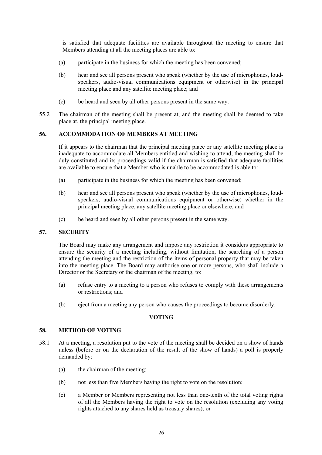is satisfied that adequate facilities are available throughout the meeting to ensure that Members attending at all the meeting places are able to:

- (a) participate in the business for which the meeting has been convened;
- (b) hear and see all persons present who speak (whether by the use of microphones, loudspeakers, audio-visual communications equipment or otherwise) in the principal meeting place and any satellite meeting place; and
- (c) be heard and seen by all other persons present in the same way.
- 55.2 The chairman of the meeting shall be present at, and the meeting shall be deemed to take place at, the principal meeting place.

# **56. ACCOMMODATION OF MEMBERS AT MEETING**

If it appears to the chairman that the principal meeting place or any satellite meeting place is inadequate to accommodate all Members entitled and wishing to attend, the meeting shall be duly constituted and its proceedings valid if the chairman is satisfied that adequate facilities are available to ensure that a Member who is unable to be accommodated is able to:

- (a) participate in the business for which the meeting has been convened;
- (b) hear and see all persons present who speak (whether by the use of microphones, loudspeakers, audio-visual communications equipment or otherwise) whether in the principal meeting place, any satellite meeting place or elsewhere; and
- (c) be heard and seen by all other persons present in the same way.

## **57. SECURITY**

The Board may make any arrangement and impose any restriction it considers appropriate to ensure the security of a meeting including, without limitation, the searching of a person attending the meeting and the restriction of the items of personal property that may be taken into the meeting place. The Board may authorise one or more persons, who shall include a Director or the Secretary or the chairman of the meeting, to:

- (a) refuse entry to a meeting to a person who refuses to comply with these arrangements or restrictions; and
- (b) eject from a meeting any person who causes the proceedings to become disorderly.

## **VOTING**

#### **58. METHOD OF VOTING**

- 58.1 At a meeting, a resolution put to the vote of the meeting shall be decided on a show of hands unless (before or on the declaration of the result of the show of hands) a poll is properly demanded by:
	- (a) the chairman of the meeting;
	- (b) not less than five Members having the right to vote on the resolution;
	- (c) a Member or Members representing not less than one-tenth of the total voting rights of all the Members having the right to vote on the resolution (excluding any voting rights attached to any shares held as treasury shares); or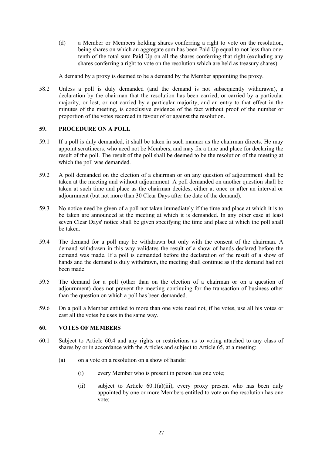(d) a Member or Members holding shares conferring a right to vote on the resolution, being shares on which an aggregate sum has been Paid Up equal to not less than onetenth of the total sum Paid Up on all the shares conferring that right (excluding any shares conferring a right to vote on the resolution which are held as treasury shares).

A demand by a proxy is deemed to be a demand by the Member appointing the proxy.

58.2 Unless a poll is duly demanded (and the demand is not subsequently withdrawn), a declaration by the chairman that the resolution has been carried, or carried by a particular majority, or lost, or not carried by a particular majority, and an entry to that effect in the minutes of the meeting, is conclusive evidence of the fact without proof of the number or proportion of the votes recorded in favour of or against the resolution.

# **59. PROCEDURE ON A POLL**

- 59.1 If a poll is duly demanded, it shall be taken in such manner as the chairman directs. He may appoint scrutineers, who need not be Members, and may fix a time and place for declaring the result of the poll. The result of the poll shall be deemed to be the resolution of the meeting at which the poll was demanded.
- 59.2 A poll demanded on the election of a chairman or on any question of adjournment shall be taken at the meeting and without adjournment. A poll demanded on another question shall be taken at such time and place as the chairman decides, either at once or after an interval or adjournment (but not more than 30 Clear Days after the date of the demand).
- 59.3 No notice need be given of a poll not taken immediately if the time and place at which it is to be taken are announced at the meeting at which it is demanded. In any other case at least seven Clear Days' notice shall be given specifying the time and place at which the poll shall be taken.
- 59.4 The demand for a poll may be withdrawn but only with the consent of the chairman. A demand withdrawn in this way validates the result of a show of hands declared before the demand was made. If a poll is demanded before the declaration of the result of a show of hands and the demand is duly withdrawn, the meeting shall continue as if the demand had not been made.
- 59.5 The demand for a poll (other than on the election of a chairman or on a question of adjournment) does not prevent the meeting continuing for the transaction of business other than the question on which a poll has been demanded.
- 59.6 On a poll a Member entitled to more than one vote need not, if he votes, use all his votes or cast all the votes he uses in the same way.

# **60. VOTES OF MEMBERS**

- 60.1 Subject to Article 60.4 and any rights or restrictions as to voting attached to any class of shares by or in accordance with the Articles and subject to Article 65, at a meeting:
	- (a) on a vote on a resolution on a show of hands:
		- (i) every Member who is present in person has one vote;
		- (ii) subject to Article 60.1(a)(iii), every proxy present who has been duly appointed by one or more Members entitled to vote on the resolution has one vote;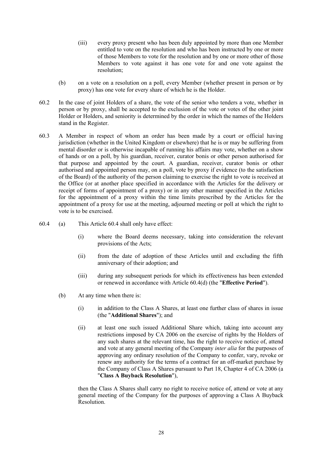- (iii) every proxy present who has been duly appointed by more than one Member entitled to vote on the resolution and who has been instructed by one or more of those Members to vote for the resolution and by one or more other of those Members to vote against it has one vote for and one vote against the resolution;
- (b) on a vote on a resolution on a poll, every Member (whether present in person or by proxy) has one vote for every share of which he is the Holder.
- 60.2 In the case of joint Holders of a share, the vote of the senior who tenders a vote, whether in person or by proxy, shall be accepted to the exclusion of the vote or votes of the other joint Holder or Holders, and seniority is determined by the order in which the names of the Holders stand in the Register.
- 60.3 A Member in respect of whom an order has been made by a court or official having jurisdiction (whether in the United Kingdom or elsewhere) that he is or may be suffering from mental disorder or is otherwise incapable of running his affairs may vote, whether on a show of hands or on a poll, by his guardian, receiver, curator bonis or other person authorised for that purpose and appointed by the court. A guardian, receiver, curator bonis or other authorised and appointed person may, on a poll, vote by proxy if evidence (to the satisfaction of the Board) of the authority of the person claiming to exercise the right to vote is received at the Office (or at another place specified in accordance with the Articles for the delivery or receipt of forms of appointment of a proxy) or in any other manner specified in the Articles for the appointment of a proxy within the time limits prescribed by the Articles for the appointment of a proxy for use at the meeting, adjourned meeting or poll at which the right to vote is to be exercised.
- 60.4 (a) This Article 60.4 shall only have effect:
	- (i) where the Board deems necessary, taking into consideration the relevant provisions of the Acts;
	- (ii) from the date of adoption of these Articles until and excluding the fifth anniversary of their adoption; and
	- (iii) during any subsequent periods for which its effectiveness has been extended or renewed in accordance with Article 60.4(d) (the "**Effective Period**").
	- (b) At any time when there is:
		- (i) in addition to the Class A Shares, at least one further class of shares in issue (the "**Additional Shares**"); and
		- (ii) at least one such issued Additional Share which, taking into account any restrictions imposed by CA 2006 on the exercise of rights by the Holders of any such shares at the relevant time, has the right to receive notice of, attend and vote at any general meeting of the Company *inter alia* for the purposes of approving any ordinary resolution of the Company to confer, vary, revoke or renew any authority for the terms of a contract for an off-market purchase by the Company of Class A Shares pursuant to Part 18, Chapter 4 of CA 2006 (a "**Class A Buyback Resolution**"),

then the Class A Shares shall carry no right to receive notice of, attend or vote at any general meeting of the Company for the purposes of approving a Class A Buyback Resolution.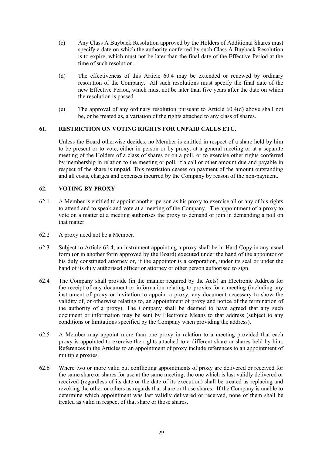- (c) Any Class A Buyback Resolution approved by the Holders of Additional Shares must specify a date on which the authority conferred by such Class A Buyback Resolution is to expire, which must not be later than the final date of the Effective Period at the time of such resolution.
- (d) The effectiveness of this Article 60.4 may be extended or renewed by ordinary resolution of the Company. All such resolutions must specify the final date of the new Effective Period, which must not be later than five years after the date on which the resolution is passed.
- (e) The approval of any ordinary resolution pursuant to Article 60.4(d) above shall not be, or be treated as, a variation of the rights attached to any class of shares.

# **61. RESTRICTION ON VOTING RIGHTS FOR UNPAID CALLS ETC.**

Unless the Board otherwise decides, no Member is entitled in respect of a share held by him to be present or to vote, either in person or by proxy, at a general meeting or at a separate meeting of the Holders of a class of shares or on a poll, or to exercise other rights conferred by membership in relation to the meeting or poll, if a call or other amount due and payable in respect of the share is unpaid. This restriction ceases on payment of the amount outstanding and all costs, charges and expenses incurred by the Company by reason of the non-payment.

## **62. VOTING BY PROXY**

- 62.1 A Member is entitled to appoint another person as his proxy to exercise all or any of his rights to attend and to speak and vote at a meeting of the Company. The appointment of a proxy to vote on a matter at a meeting authorises the proxy to demand or join in demanding a poll on that matter.
- 62.2 A proxy need not be a Member.
- 62.3 Subject to Article 62.4, an instrument appointing a proxy shall be in Hard Copy in any usual form (or in another form approved by the Board) executed under the hand of the appointor or his duly constituted attorney or, if the appointor is a corporation, under its seal or under the hand of its duly authorised officer or attorney or other person authorised to sign.
- 62.4 The Company shall provide (in the manner required by the Acts) an Electronic Address for the receipt of any document or information relating to proxies for a meeting (including any instrument of proxy or invitation to appoint a proxy, any document necessary to show the validity of, or otherwise relating to, an appointment of proxy and notice of the termination of the authority of a proxy). The Company shall be deemed to have agreed that any such document or information may be sent by Electronic Means to that address (subject to any conditions or limitations specified by the Company when providing the address).
- 62.5 A Member may appoint more than one proxy in relation to a meeting provided that each proxy is appointed to exercise the rights attached to a different share or shares held by him. References in the Articles to an appointment of proxy include references to an appointment of multiple proxies.
- 62.6 Where two or more valid but conflicting appointments of proxy are delivered or received for the same share or shares for use at the same meeting, the one which is last validly delivered or received (regardless of its date or the date of its execution) shall be treated as replacing and revoking the other or others as regards that share or those shares. If the Company is unable to determine which appointment was last validly delivered or received, none of them shall be treated as valid in respect of that share or those shares.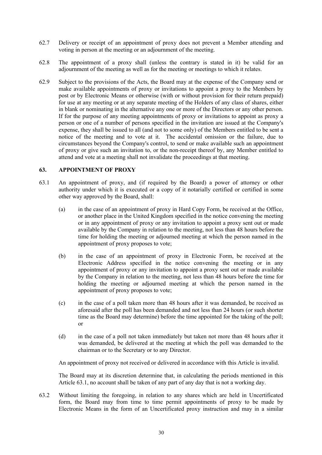- 62.7 Delivery or receipt of an appointment of proxy does not prevent a Member attending and voting in person at the meeting or an adjournment of the meeting.
- 62.8 The appointment of a proxy shall (unless the contrary is stated in it) be valid for an adjournment of the meeting as well as for the meeting or meetings to which it relates.
- 62.9 Subject to the provisions of the Acts, the Board may at the expense of the Company send or make available appointments of proxy or invitations to appoint a proxy to the Members by post or by Electronic Means or otherwise (with or without provision for their return prepaid) for use at any meeting or at any separate meeting of the Holders of any class of shares, either in blank or nominating in the alternative any one or more of the Directors or any other person. If for the purpose of any meeting appointments of proxy or invitations to appoint as proxy a person or one of a number of persons specified in the invitation are issued at the Company's expense, they shall be issued to all (and not to some only) of the Members entitled to be sent a notice of the meeting and to vote at it. The accidental omission or the failure, due to circumstances beyond the Company's control, to send or make available such an appointment of proxy or give such an invitation to, or the non-receipt thereof by, any Member entitled to attend and vote at a meeting shall not invalidate the proceedings at that meeting.

# **63. APPOINTMENT OF PROXY**

- 63.1 An appointment of proxy, and (if required by the Board) a power of attorney or other authority under which it is executed or a copy of it notarially certified or certified in some other way approved by the Board, shall:
	- (a) in the case of an appointment of proxy in Hard Copy Form, be received at the Office, or another place in the United Kingdom specified in the notice convening the meeting or in any appointment of proxy or any invitation to appoint a proxy sent out or made available by the Company in relation to the meeting, not less than 48 hours before the time for holding the meeting or adjourned meeting at which the person named in the appointment of proxy proposes to vote;
	- (b) in the case of an appointment of proxy in Electronic Form, be received at the Electronic Address specified in the notice convening the meeting or in any appointment of proxy or any invitation to appoint a proxy sent out or made available by the Company in relation to the meeting, not less than 48 hours before the time for holding the meeting or adjourned meeting at which the person named in the appointment of proxy proposes to vote;
	- (c) in the case of a poll taken more than 48 hours after it was demanded, be received as aforesaid after the poll has been demanded and not less than 24 hours (or such shorter time as the Board may determine) before the time appointed for the taking of the poll; or
	- (d) in the case of a poll not taken immediately but taken not more than 48 hours after it was demanded, be delivered at the meeting at which the poll was demanded to the chairman or to the Secretary or to any Director.

An appointment of proxy not received or delivered in accordance with this Article is invalid.

The Board may at its discretion determine that, in calculating the periods mentioned in this Article 63.1, no account shall be taken of any part of any day that is not a working day.

63.2 Without limiting the foregoing, in relation to any shares which are held in Uncertificated form, the Board may from time to time permit appointments of proxy to be made by Electronic Means in the form of an Uncertificated proxy instruction and may in a similar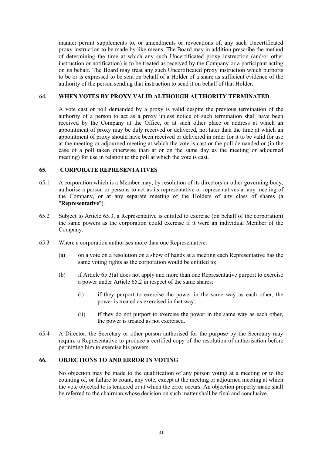manner permit supplements to, or amendments or revocations of, any such Uncertificated proxy instruction to be made by like means. The Board may in addition prescribe the method of determining the time at which any such Uncertificated proxy instruction (and/or other instruction or notification) is to be treated as received by the Company or a participant acting on its behalf. The Board may treat any such Uncertificated proxy instruction which purports to be or is expressed to be sent on behalf of a Holder of a share as sufficient evidence of the authority of the person sending that instruction to send it on behalf of that Holder.

#### **64. WHEN VOTES BY PROXY VALID ALTHOUGH AUTHORITY TERMINATED**

A vote cast or poll demanded by a proxy is valid despite the previous termination of the authority of a person to act as a proxy unless notice of such termination shall have been received by the Company at the Office, or at such other place or address at which an appointment of proxy may be duly received or delivered, not later than the time at which an appointment of proxy should have been received or delivered in order for it to be valid for use at the meeting or adjourned meeting at which the vote is cast or the poll demanded or (in the case of a poll taken otherwise than at or on the same day as the meeting or adjourned meeting) for use in relation to the poll at which the vote is cast.

#### **65. CORPORATE REPRESENTATIVES**

- 65.1 A corporation which is a Member may, by resolution of its directors or other governing body, authorise a person or persons to act as its representative or representatives at any meeting of the Company, or at any separate meeting of the Holders of any class of shares (a "**Representative**").
- 65.2 Subject to Article 65.3, a Representative is entitled to exercise (on behalf of the corporation) the same powers as the corporation could exercise if it were an individual Member of the Company.
- 65.3 Where a corporation authorises more than one Representative:
	- (a) on a vote on a resolution on a show of hands at a meeting each Representative has the same voting rights as the corporation would be entitled to;
	- (b) if Article 65.3(a) does not apply and more than one Representative purport to exercise a power under Article 65.2 in respect of the same shares:
		- (i) if they purport to exercise the power in the same way as each other, the power is treated as exercised in that way;
		- (ii) if they do not purport to exercise the power in the same way as each other, the power is treated as not exercised.
- 65.4 A Director, the Secretary or other person authorised for the purpose by the Secretary may require a Representative to produce a certified copy of the resolution of authorisation before permitting him to exercise his powers.

# **66. OBJECTIONS TO AND ERROR IN VOTING**

No objection may be made to the qualification of any person voting at a meeting or to the counting of, or failure to count, any vote, except at the meeting or adjourned meeting at which the vote objected to is tendered or at which the error occurs. An objection properly made shall be referred to the chairman whose decision on such matter shall be final and conclusive.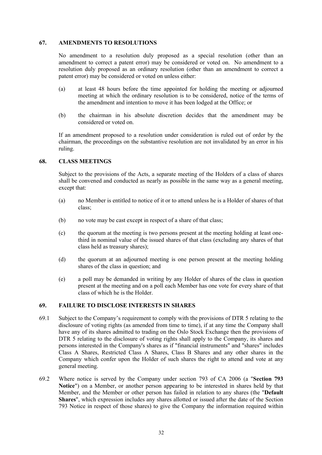#### **67. AMENDMENTS TO RESOLUTIONS**

No amendment to a resolution duly proposed as a special resolution (other than an amendment to correct a patent error) may be considered or voted on. No amendment to a resolution duly proposed as an ordinary resolution (other than an amendment to correct a patent error) may be considered or voted on unless either:

- (a) at least 48 hours before the time appointed for holding the meeting or adjourned meeting at which the ordinary resolution is to be considered, notice of the terms of the amendment and intention to move it has been lodged at the Office; or
- (b) the chairman in his absolute discretion decides that the amendment may be considered or voted on.

If an amendment proposed to a resolution under consideration is ruled out of order by the chairman, the proceedings on the substantive resolution are not invalidated by an error in his ruling.

#### **68. CLASS MEETINGS**

Subject to the provisions of the Acts, a separate meeting of the Holders of a class of shares shall be convened and conducted as nearly as possible in the same way as a general meeting, except that:

- (a) no Member is entitled to notice of it or to attend unless he is a Holder of shares of that class;
- (b) no vote may be cast except in respect of a share of that class;
- (c) the quorum at the meeting is two persons present at the meeting holding at least onethird in nominal value of the issued shares of that class (excluding any shares of that class held as treasury shares);
- (d) the quorum at an adjourned meeting is one person present at the meeting holding shares of the class in question; and
- (e) a poll may be demanded in writing by any Holder of shares of the class in question present at the meeting and on a poll each Member has one vote for every share of that class of which he is the Holder.

# **69. FAILURE TO DISCLOSE INTERESTS IN SHARES**

- 69.1 Subject to the Company's requirement to comply with the provisions of DTR 5 relating to the disclosure of voting rights (as amended from time to time), if at any time the Company shall have any of its shares admitted to trading on the Oslo Stock Exchange then the provisions of DTR 5 relating to the disclosure of voting rights shall apply to the Company, its shares and persons interested in the Company's shares as if "financial instruments" and "shares" includes Class A Shares, Restricted Class A Shares, Class B Shares and any other shares in the Company which confer upon the Holder of such shares the right to attend and vote at any general meeting.
- 69.2 Where notice is served by the Company under section 793 of CA 2006 (a "**Section 793 Notice**") on a Member, or another person appearing to be interested in shares held by that Member, and the Member or other person has failed in relation to any shares (the "**Default Shares**", which expression includes any shares allotted or issued after the date of the Section 793 Notice in respect of those shares) to give the Company the information required within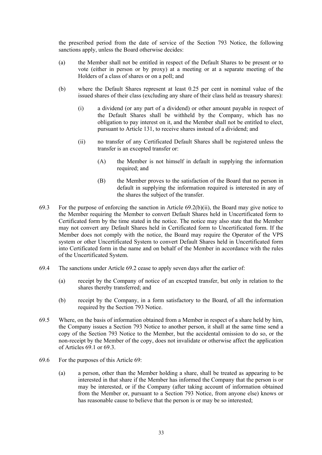the prescribed period from the date of service of the Section 793 Notice, the following sanctions apply, unless the Board otherwise decides:

- (a) the Member shall not be entitled in respect of the Default Shares to be present or to vote (either in person or by proxy) at a meeting or at a separate meeting of the Holders of a class of shares or on a poll; and
- (b) where the Default Shares represent at least 0.25 per cent in nominal value of the issued shares of their class (excluding any share of their class held as treasury shares):
	- (i) a dividend (or any part of a dividend) or other amount payable in respect of the Default Shares shall be withheld by the Company, which has no obligation to pay interest on it, and the Member shall not be entitled to elect, pursuant to Article 131, to receive shares instead of a dividend; and
	- (ii) no transfer of any Certificated Default Shares shall be registered unless the transfer is an excepted transfer or:
		- (A) the Member is not himself in default in supplying the information required; and
		- (B) the Member proves to the satisfaction of the Board that no person in default in supplying the information required is interested in any of the shares the subject of the transfer.
- 69.3 For the purpose of enforcing the sanction in Article 69.2(b)(ii), the Board may give notice to the Member requiring the Member to convert Default Shares held in Uncertificated form to Certificated form by the time stated in the notice. The notice may also state that the Member may not convert any Default Shares held in Certificated form to Uncertificated form. If the Member does not comply with the notice, the Board may require the Operator of the VPS system or other Uncertificated System to convert Default Shares held in Uncertificated form into Certificated form in the name and on behalf of the Member in accordance with the rules of the Uncertificated System.
- 69.4 The sanctions under Article 69.2 cease to apply seven days after the earlier of:
	- (a) receipt by the Company of notice of an excepted transfer, but only in relation to the shares thereby transferred; and
	- (b) receipt by the Company, in a form satisfactory to the Board, of all the information required by the Section 793 Notice.
- 69.5 Where, on the basis of information obtained from a Member in respect of a share held by him, the Company issues a Section 793 Notice to another person, it shall at the same time send a copy of the Section 793 Notice to the Member, but the accidental omission to do so, or the non-receipt by the Member of the copy, does not invalidate or otherwise affect the application of Articles 69.1 or 69.3.
- 69.6 For the purposes of this Article 69:
	- (a) a person, other than the Member holding a share, shall be treated as appearing to be interested in that share if the Member has informed the Company that the person is or may be interested, or if the Company (after taking account of information obtained from the Member or, pursuant to a Section 793 Notice, from anyone else) knows or has reasonable cause to believe that the person is or may be so interested;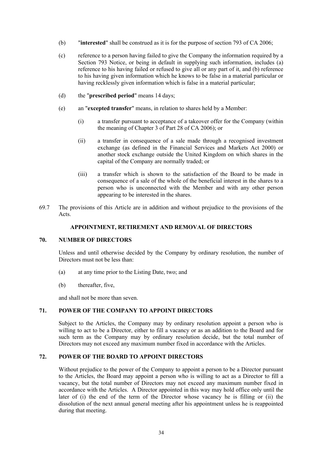- (b) "**interested**" shall be construed as it is for the purpose of section 793 of CA 2006;
- (c) reference to a person having failed to give the Company the information required by a Section 793 Notice, or being in default in supplying such information, includes (a) reference to his having failed or refused to give all or any part of it, and (b) reference to his having given information which he knows to be false in a material particular or having recklessly given information which is false in a material particular;
- (d) the "**prescribed period**" means 14 days;
- (e) an "**excepted transfer**" means, in relation to shares held by a Member:
	- (i) a transfer pursuant to acceptance of a takeover offer for the Company (within the meaning of Chapter 3 of Part 28 of CA 2006); or
	- (ii) a transfer in consequence of a sale made through a recognised investment exchange (as defined in the Financial Services and Markets Act 2000) or another stock exchange outside the United Kingdom on which shares in the capital of the Company are normally traded; or
	- (iii) a transfer which is shown to the satisfaction of the Board to be made in consequence of a sale of the whole of the beneficial interest in the shares to a person who is unconnected with the Member and with any other person appearing to be interested in the shares.
- 69.7 The provisions of this Article are in addition and without prejudice to the provisions of the Acts.

# **APPOINTMENT, RETIREMENT AND REMOVAL OF DIRECTORS**

## **70. NUMBER OF DIRECTORS**

Unless and until otherwise decided by the Company by ordinary resolution, the number of Directors must not be less than:

- (a) at any time prior to the Listing Date, two; and
- (b) thereafter, five,

and shall not be more than seven.

## **71. POWER OF THE COMPANY TO APPOINT DIRECTORS**

Subject to the Articles, the Company may by ordinary resolution appoint a person who is willing to act to be a Director, either to fill a vacancy or as an addition to the Board and for such term as the Company may by ordinary resolution decide, but the total number of Directors may not exceed any maximum number fixed in accordance with the Articles.

## **72. POWER OF THE BOARD TO APPOINT DIRECTORS**

Without prejudice to the power of the Company to appoint a person to be a Director pursuant to the Articles, the Board may appoint a person who is willing to act as a Director to fill a vacancy, but the total number of Directors may not exceed any maximum number fixed in accordance with the Articles. A Director appointed in this way may hold office only until the later of (i) the end of the term of the Director whose vacancy he is filling or (ii) the dissolution of the next annual general meeting after his appointment unless he is reappointed during that meeting.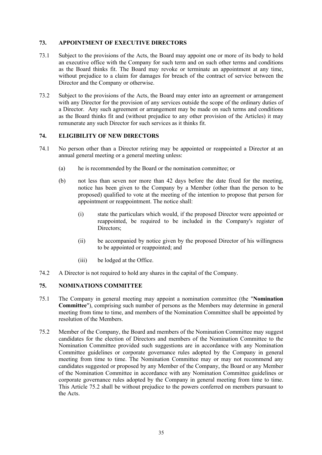# **73. APPOINTMENT OF EXECUTIVE DIRECTORS**

- 73.1 Subject to the provisions of the Acts, the Board may appoint one or more of its body to hold an executive office with the Company for such term and on such other terms and conditions as the Board thinks fit. The Board may revoke or terminate an appointment at any time, without prejudice to a claim for damages for breach of the contract of service between the Director and the Company or otherwise.
- 73.2 Subject to the provisions of the Acts, the Board may enter into an agreement or arrangement with any Director for the provision of any services outside the scope of the ordinary duties of a Director. Any such agreement or arrangement may be made on such terms and conditions as the Board thinks fit and (without prejudice to any other provision of the Articles) it may remunerate any such Director for such services as it thinks fit.

# **74. ELIGIBILITY OF NEW DIRECTORS**

- 74.1 No person other than a Director retiring may be appointed or reappointed a Director at an annual general meeting or a general meeting unless:
	- (a) he is recommended by the Board or the nomination committee; or
	- (b) not less than seven nor more than 42 days before the date fixed for the meeting, notice has been given to the Company by a Member (other than the person to be proposed) qualified to vote at the meeting of the intention to propose that person for appointment or reappointment. The notice shall:
		- (i) state the particulars which would, if the proposed Director were appointed or reappointed, be required to be included in the Company's register of Directors;
		- (ii) be accompanied by notice given by the proposed Director of his willingness to be appointed or reappointed; and
		- (iii) be lodged at the Office.
- 74.2 A Director is not required to hold any shares in the capital of the Company.

# **75. NOMINATIONS COMMITTEE**

- 75.1 The Company in general meeting may appoint a nomination committee (the "**Nomination Committee**"), comprising such number of persons as the Members may determine in general meeting from time to time, and members of the Nomination Committee shall be appointed by resolution of the Members.
- 75.2 Member of the Company, the Board and members of the Nomination Committee may suggest candidates for the election of Directors and members of the Nomination Committee to the Nomination Committee provided such suggestions are in accordance with any Nomination Committee guidelines or corporate governance rules adopted by the Company in general meeting from time to time. The Nomination Committee may or may not recommend any candidates suggested or proposed by any Member of the Company, the Board or any Member of the Nomination Committee in accordance with any Nomination Committee guidelines or corporate governance rules adopted by the Company in general meeting from time to time. This Article 75.2 shall be without prejudice to the powers conferred on members pursuant to the Acts.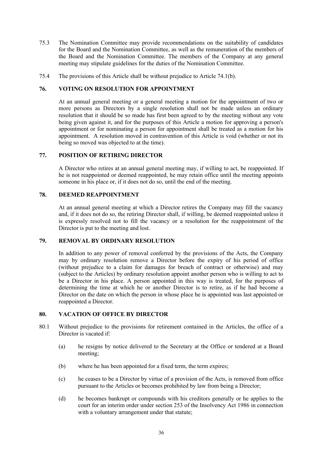- 75.3 The Nomination Committee may provide recommendations on the suitability of candidates for the Board and the Nomination Committee, as well as the remuneration of the members of the Board and the Nomination Committee. The members of the Company at any general meeting may stipulate guidelines for the duties of the Nomination Committee.
- 75.4 The provisions of this Article shall be without prejudice to Article 74.1(b).

## **76. VOTING ON RESOLUTION FOR APPOINTMENT**

At an annual general meeting or a general meeting a motion for the appointment of two or more persons as Directors by a single resolution shall not be made unless an ordinary resolution that it should be so made has first been agreed to by the meeting without any vote being given against it, and for the purposes of this Article a motion for approving a person's appointment or for nominating a person for appointment shall be treated as a motion for his appointment. A resolution moved in contravention of this Article is void (whether or not its being so moved was objected to at the time).

## **77. POSITION OF RETIRING DIRECTOR**

A Director who retires at an annual general meeting may, if willing to act, be reappointed. If he is not reappointed or deemed reappointed, he may retain office until the meeting appoints someone in his place or, if it does not do so, until the end of the meeting.

#### **78. DEEMED REAPPOINTMENT**

At an annual general meeting at which a Director retires the Company may fill the vacancy and, if it does not do so, the retiring Director shall, if willing, be deemed reappointed unless it is expressly resolved not to fill the vacancy or a resolution for the reappointment of the Director is put to the meeting and lost.

# **79. REMOVAL BY ORDINARY RESOLUTION**

In addition to any power of removal conferred by the provisions of the Acts, the Company may by ordinary resolution remove a Director before the expiry of his period of office (without prejudice to a claim for damages for breach of contract or otherwise) and may (subject to the Articles) by ordinary resolution appoint another person who is willing to act to be a Director in his place. A person appointed in this way is treated, for the purposes of determining the time at which he or another Director is to retire, as if he had become a Director on the date on which the person in whose place he is appointed was last appointed or reappointed a Director.

# **80. VACATION OF OFFICE BY DIRECTOR**

- 80.1 Without prejudice to the provisions for retirement contained in the Articles, the office of a Director is vacated if:
	- (a) he resigns by notice delivered to the Secretary at the Office or tendered at a Board meeting;
	- (b) where he has been appointed for a fixed term, the term expires;
	- (c) he ceases to be a Director by virtue of a provision of the Acts, is removed from office pursuant to the Articles or becomes prohibited by law from being a Director;
	- (d) he becomes bankrupt or compounds with his creditors generally or he applies to the court for an interim order under section 253 of the Insolvency Act 1986 in connection with a voluntary arrangement under that statute;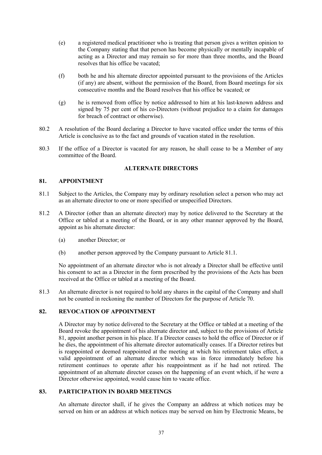- (e) a registered medical practitioner who is treating that person gives a written opinion to the Company stating that that person has become physically or mentally incapable of acting as a Director and may remain so for more than three months, and the Board resolves that his office be vacated;
- (f) both he and his alternate director appointed pursuant to the provisions of the Articles (if any) are absent, without the permission of the Board, from Board meetings for six consecutive months and the Board resolves that his office be vacated; or
- (g) he is removed from office by notice addressed to him at his last-known address and signed by 75 per cent of his co-Directors (without prejudice to a claim for damages for breach of contract or otherwise).
- 80.2 A resolution of the Board declaring a Director to have vacated office under the terms of this Article is conclusive as to the fact and grounds of vacation stated in the resolution.
- 80.3 If the office of a Director is vacated for any reason, he shall cease to be a Member of any committee of the Board.

## **ALTERNATE DIRECTORS**

## **81. APPOINTMENT**

- 81.1 Subject to the Articles, the Company may by ordinary resolution select a person who may act as an alternate director to one or more specified or unspecified Directors.
- 81.2 A Director (other than an alternate director) may by notice delivered to the Secretary at the Office or tabled at a meeting of the Board, or in any other manner approved by the Board, appoint as his alternate director:
	- (a) another Director; or
	- (b) another person approved by the Company pursuant to Article 81.1.

No appointment of an alternate director who is not already a Director shall be effective until his consent to act as a Director in the form prescribed by the provisions of the Acts has been received at the Office or tabled at a meeting of the Board.

81.3 An alternate director is not required to hold any shares in the capital of the Company and shall not be counted in reckoning the number of Directors for the purpose of Article 70.

# **82. REVOCATION OF APPOINTMENT**

A Director may by notice delivered to the Secretary at the Office or tabled at a meeting of the Board revoke the appointment of his alternate director and, subject to the provisions of Article 81, appoint another person in his place. If a Director ceases to hold the office of Director or if he dies, the appointment of his alternate director automatically ceases. If a Director retires but is reappointed or deemed reappointed at the meeting at which his retirement takes effect, a valid appointment of an alternate director which was in force immediately before his retirement continues to operate after his reappointment as if he had not retired. The appointment of an alternate director ceases on the happening of an event which, if he were a Director otherwise appointed, would cause him to vacate office.

# **83. PARTICIPATION IN BOARD MEETINGS**

An alternate director shall, if he gives the Company an address at which notices may be served on him or an address at which notices may be served on him by Electronic Means, be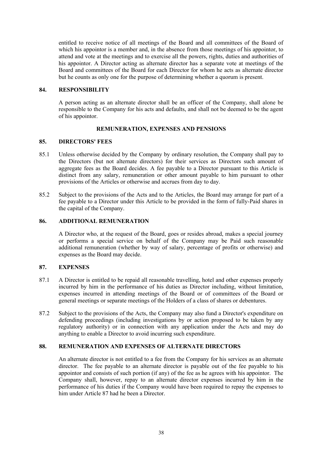entitled to receive notice of all meetings of the Board and all committees of the Board of which his appointor is a member and, in the absence from those meetings of his appointor, to attend and vote at the meetings and to exercise all the powers, rights, duties and authorities of his appointor. A Director acting as alternate director has a separate vote at meetings of the Board and committees of the Board for each Director for whom he acts as alternate director but he counts as only one for the purpose of determining whether a quorum is present.

# **84. RESPONSIBILITY**

A person acting as an alternate director shall be an officer of the Company, shall alone be responsible to the Company for his acts and defaults, and shall not be deemed to be the agent of his appointor.

# **REMUNERATION, EXPENSES AND PENSIONS**

## **85. DIRECTORS' FEES**

- 85.1 Unless otherwise decided by the Company by ordinary resolution, the Company shall pay to the Directors (but not alternate directors) for their services as Directors such amount of aggregate fees as the Board decides. A fee payable to a Director pursuant to this Article is distinct from any salary, remuneration or other amount payable to him pursuant to other provisions of the Articles or otherwise and accrues from day to day.
- 85.2 Subject to the provisions of the Acts and to the Articles, the Board may arrange for part of a fee payable to a Director under this Article to be provided in the form of fully-Paid shares in the capital of the Company.

# **86. ADDITIONAL REMUNERATION**

A Director who, at the request of the Board, goes or resides abroad, makes a special journey or performs a special service on behalf of the Company may be Paid such reasonable additional remuneration (whether by way of salary, percentage of profits or otherwise) and expenses as the Board may decide.

## **87. EXPENSES**

- 87.1 A Director is entitled to be repaid all reasonable travelling, hotel and other expenses properly incurred by him in the performance of his duties as Director including, without limitation, expenses incurred in attending meetings of the Board or of committees of the Board or general meetings or separate meetings of the Holders of a class of shares or debentures.
- 87.2 Subject to the provisions of the Acts, the Company may also fund a Director's expenditure on defending proceedings (including investigations by or action proposed to be taken by any regulatory authority) or in connection with any application under the Acts and may do anything to enable a Director to avoid incurring such expenditure.

# **88. REMUNERATION AND EXPENSES OF ALTERNATE DIRECTORS**

An alternate director is not entitled to a fee from the Company for his services as an alternate director. The fee payable to an alternate director is payable out of the fee payable to his appointor and consists of such portion (if any) of the fee as he agrees with his appointor. The Company shall, however, repay to an alternate director expenses incurred by him in the performance of his duties if the Company would have been required to repay the expenses to him under Article 87 had he been a Director.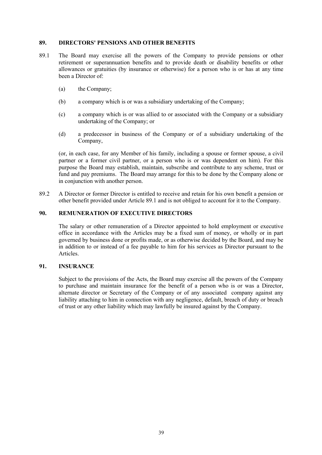#### **89. DIRECTORS' PENSIONS AND OTHER BENEFITS**

- 89.1 The Board may exercise all the powers of the Company to provide pensions or other retirement or superannuation benefits and to provide death or disability benefits or other allowances or gratuities (by insurance or otherwise) for a person who is or has at any time been a Director of:
	- (a) the Company;
	- (b) a company which is or was a subsidiary undertaking of the Company;
	- (c) a company which is or was allied to or associated with the Company or a subsidiary undertaking of the Company; or
	- (d) a predecessor in business of the Company or of a subsidiary undertaking of the Company,

(or, in each case, for any Member of his family, including a spouse or former spouse, a civil partner or a former civil partner, or a person who is or was dependent on him). For this purpose the Board may establish, maintain, subscribe and contribute to any scheme, trust or fund and pay premiums. The Board may arrange for this to be done by the Company alone or in conjunction with another person.

89.2 A Director or former Director is entitled to receive and retain for his own benefit a pension or other benefit provided under Article 89.1 and is not obliged to account for it to the Company.

# **90. REMUNERATION OF EXECUTIVE DIRECTORS**

The salary or other remuneration of a Director appointed to hold employment or executive office in accordance with the Articles may be a fixed sum of money, or wholly or in part governed by business done or profits made, or as otherwise decided by the Board, and may be in addition to or instead of a fee payable to him for his services as Director pursuant to the Articles.

#### **91. INSURANCE**

Subject to the provisions of the Acts, the Board may exercise all the powers of the Company to purchase and maintain insurance for the benefit of a person who is or was a Director, alternate director or Secretary of the Company or of any associated company against any liability attaching to him in connection with any negligence, default, breach of duty or breach of trust or any other liability which may lawfully be insured against by the Company.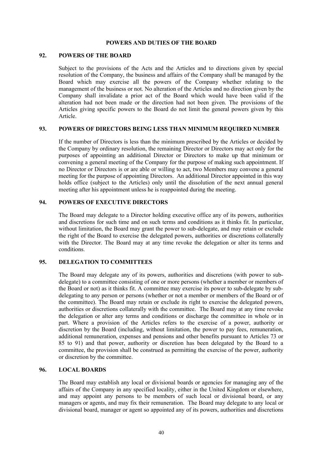#### **POWERS AND DUTIES OF THE BOARD**

# **92. POWERS OF THE BOARD**

Subject to the provisions of the Acts and the Articles and to directions given by special resolution of the Company, the business and affairs of the Company shall be managed by the Board which may exercise all the powers of the Company whether relating to the management of the business or not. No alteration of the Articles and no direction given by the Company shall invalidate a prior act of the Board which would have been valid if the alteration had not been made or the direction had not been given. The provisions of the Articles giving specific powers to the Board do not limit the general powers given by this Article.

## **93. POWERS OF DIRECTORS BEING LESS THAN MINIMUM REQUIRED NUMBER**

If the number of Directors is less than the minimum prescribed by the Articles or decided by the Company by ordinary resolution, the remaining Director or Directors may act only for the purposes of appointing an additional Director or Directors to make up that minimum or convening a general meeting of the Company for the purpose of making such appointment. If no Director or Directors is or are able or willing to act, two Members may convene a general meeting for the purpose of appointing Directors. An additional Director appointed in this way holds office (subject to the Articles) only until the dissolution of the next annual general meeting after his appointment unless he is reappointed during the meeting.

# **94. POWERS OF EXECUTIVE DIRECTORS**

The Board may delegate to a Director holding executive office any of its powers, authorities and discretions for such time and on such terms and conditions as it thinks fit. In particular, without limitation, the Board may grant the power to sub-delegate, and may retain or exclude the right of the Board to exercise the delegated powers, authorities or discretions collaterally with the Director. The Board may at any time revoke the delegation or alter its terms and conditions.

## **95. DELEGATION TO COMMITTEES**

The Board may delegate any of its powers, authorities and discretions (with power to subdelegate) to a committee consisting of one or more persons (whether a member or members of the Board or not) as it thinks fit. A committee may exercise its power to sub-delegate by subdelegating to any person or persons (whether or not a member or members of the Board or of the committee). The Board may retain or exclude its right to exercise the delegated powers, authorities or discretions collaterally with the committee. The Board may at any time revoke the delegation or alter any terms and conditions or discharge the committee in whole or in part. Where a provision of the Articles refers to the exercise of a power, authority or discretion by the Board (including, without limitation, the power to pay fees, remuneration, additional remuneration, expenses and pensions and other benefits pursuant to Articles 73 or 85 to 91) and that power, authority or discretion has been delegated by the Board to a committee, the provision shall be construed as permitting the exercise of the power, authority or discretion by the committee.

#### **96. LOCAL BOARDS**

The Board may establish any local or divisional boards or agencies for managing any of the affairs of the Company in any specified locality, either in the United Kingdom or elsewhere, and may appoint any persons to be members of such local or divisional board, or any managers or agents, and may fix their remuneration. The Board may delegate to any local or divisional board, manager or agent so appointed any of its powers, authorities and discretions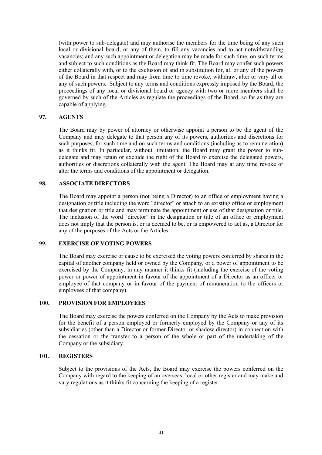(with power to sub-delegate) and may authorise the members for the time being of any such local or divisional board, or any of them, to fill any vacancies and to act notwithstanding vacancies; and any such appointment or delegation may be made for such time, on such terms and subject to such conditions as the Board may think fit. The Board may confer such powers either collaterally with, or to the exclusion of and in substitution for, all or any of the powers of the Board in that respect and may from time to time revoke, withdraw, alter or vary all or any of such powers. Subject to any terms and conditions expressly imposed by the Board, the proceedings of any local or divisional board or agency with two or more members shall be governed by such of the Articles as regulate the proceedings of the Board, so far as they are capable of applying.

## **97. AGENTS**

The Board may by power of attorney or otherwise appoint a person to be the agent of the Company and may delegate to that person any of its powers, authorities and discretions for such purposes, for such time and on such terms and conditions (including as to remuneration) as it thinks fit. In particular, without limitation, the Board may grant the power to subdelegate and may retain or exclude the right of the Board to exercise the delegated powers, authorities or discretions collaterally with the agent. The Board may at any time revoke or alter the terms and conditions of the appointment or delegation.

#### **98. ASSOCIATE DIRECTORS**

The Board may appoint a person (not being a Director) to an office or employment having a designation or title including the word "director" or attach to an existing office or employment that designation or title and may terminate the appointment or use of that designation or title. The inclusion of the word "director" in the designation or title of an office or employment does not imply that the person is, or is deemed to be, or is empowered to act as, a Director for any of the purposes of the Acts or the Articles.

#### **99. EXERCISE OF VOTING POWERS**

The Board may exercise or cause to be exercised the voting powers conferred by shares in the capital of another company held or owned by the Company, or a power of appointment to be exercised by the Company, in any manner it thinks fit (including the exercise of the voting power or power of appointment in favour of the appointment of a Director as an officer or employee of that company or in favour of the payment of remuneration to the officers or employees of that company).

#### **100. PROVISION FOR EMPLOYEES**

The Board may exercise the powers conferred on the Company by the Acts to make provision for the benefit of a person employed or formerly employed by the Company or any of its subsidiaries (other than a Director or former Director or shadow director) in connection with the cessation or the transfer to a person of the whole or part of the undertaking of the Company or the subsidiary.

#### **101. REGISTERS**

Subject to the provisions of the Acts, the Board may exercise the powers conferred on the Company with regard to the keeping of an overseas, local or other register and may make and vary regulations as it thinks fit concerning the keeping of a register.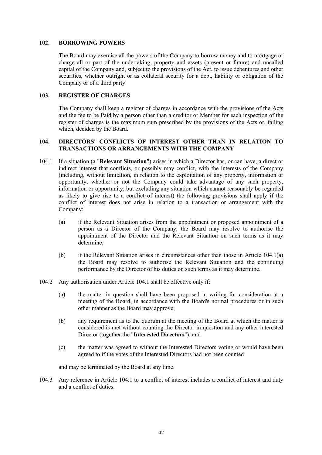#### **102. BORROWING POWERS**

The Board may exercise all the powers of the Company to borrow money and to mortgage or charge all or part of the undertaking, property and assets (present or future) and uncalled capital of the Company and, subject to the provisions of the Act, to issue debentures and other securities, whether outright or as collateral security for a debt, liability or obligation of the Company or of a third party.

## **103. REGISTER OF CHARGES**

The Company shall keep a register of charges in accordance with the provisions of the Acts and the fee to be Paid by a person other than a creditor or Member for each inspection of the register of charges is the maximum sum prescribed by the provisions of the Acts or, failing which, decided by the Board.

## **104. DIRECTORS' CONFLICTS OF INTEREST OTHER THAN IN RELATION TO TRANSACTIONS OR ARRANGEMENTS WITH THE COMPANY**

- 104.1 If a situation (a "**Relevant Situation**") arises in which a Director has, or can have, a direct or indirect interest that conflicts, or possibly may conflict, with the interests of the Company (including, without limitation, in relation to the exploitation of any property, information or opportunity, whether or not the Company could take advantage of any such property, information or opportunity, but excluding any situation which cannot reasonably be regarded as likely to give rise to a conflict of interest) the following provisions shall apply if the conflict of interest does not arise in relation to a transaction or arrangement with the Company:
	- (a) if the Relevant Situation arises from the appointment or proposed appointment of a person as a Director of the Company, the Board may resolve to authorise the appointment of the Director and the Relevant Situation on such terms as it may determine;
	- (b) if the Relevant Situation arises in circumstances other than those in Article 104.1(a) the Board may resolve to authorise the Relevant Situation and the continuing performance by the Director of his duties on such terms as it may determine.
- 104.2 Any authorisation under Article 104.1 shall be effective only if:
	- (a) the matter in question shall have been proposed in writing for consideration at a meeting of the Board, in accordance with the Board's normal procedures or in such other manner as the Board may approve;
	- (b) any requirement as to the quorum at the meeting of the Board at which the matter is considered is met without counting the Director in question and any other interested Director (together the "**Interested Directors**"); and
	- (c) the matter was agreed to without the Interested Directors voting or would have been agreed to if the votes of the Interested Directors had not been counted

and may be terminated by the Board at any time.

104.3 Any reference in Article 104.1 to a conflict of interest includes a conflict of interest and duty and a conflict of duties.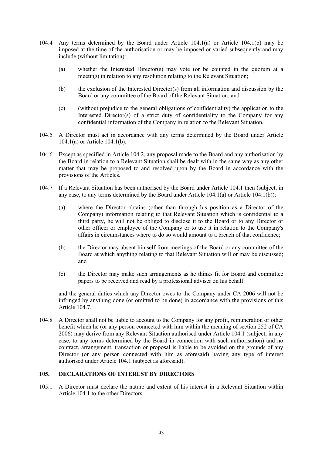- 104.4 Any terms determined by the Board under Article 104.1(a) or Article 104.1(b) may be imposed at the time of the authorisation or may be imposed or varied subsequently and may include (without limitation):
	- (a) whether the Interested Director(s) may vote (or be counted in the quorum at a meeting) in relation to any resolution relating to the Relevant Situation;
	- (b) the exclusion of the Interested Director(s) from all information and discussion by the Board or any committee of the Board of the Relevant Situation; and
	- (c) (without prejudice to the general obligations of confidentiality) the application to the Interested Director(s) of a strict duty of confidentiality to the Company for any confidential information of the Company in relation to the Relevant Situation.
- 104.5 A Director must act in accordance with any terms determined by the Board under Article 104.1(a) or Article 104.1(b).
- 104.6 Except as specified in Article 104.2, any proposal made to the Board and any authorisation by the Board in relation to a Relevant Situation shall be dealt with in the same way as any other matter that may be proposed to and resolved upon by the Board in accordance with the provisions of the Articles.
- 104.7 If a Relevant Situation has been authorised by the Board under Article 104.1 then (subject, in any case, to any terms determined by the Board under Article 104.1(a) or Article 104.1(b)):
	- (a) where the Director obtains (other than through his position as a Director of the Company) information relating to that Relevant Situation which is confidential to a third party, he will not be obliged to disclose it to the Board or to any Director or other officer or employee of the Company or to use it in relation to the Company's affairs in circumstances where to do so would amount to a breach of that confidence;
	- (b) the Director may absent himself from meetings of the Board or any committee of the Board at which anything relating to that Relevant Situation will or may be discussed; and
	- (c) the Director may make such arrangements as he thinks fit for Board and committee papers to be received and read by a professional adviser on his behalf

and the general duties which any Director owes to the Company under CA 2006 will not be infringed by anything done (or omitted to be done) in accordance with the provisions of this Article 104.7.

104.8 A Director shall not be liable to account to the Company for any profit, remuneration or other benefit which he (or any person connected with him within the meaning of section 252 of CA 2006) may derive from any Relevant Situation authorised under Article 104.1 (subject, in any case, to any terms determined by the Board in connection with such authorisation) and no contract, arrangement, transaction or proposal is liable to be avoided on the grounds of any Director (or any person connected with him as aforesaid) having any type of interest authorised under Article 104.1 (subject as aforesaid).

# **105. DECLARATIONS OF INTEREST BY DIRECTORS**

105.1 A Director must declare the nature and extent of his interest in a Relevant Situation within Article 104.1 to the other Directors.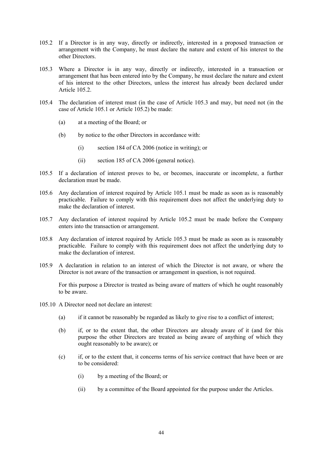- 105.2 If a Director is in any way, directly or indirectly, interested in a proposed transaction or arrangement with the Company, he must declare the nature and extent of his interest to the other Directors.
- 105.3 Where a Director is in any way, directly or indirectly, interested in a transaction or arrangement that has been entered into by the Company, he must declare the nature and extent of his interest to the other Directors, unless the interest has already been declared under Article 105.2.
- 105.4 The declaration of interest must (in the case of Article 105.3 and may, but need not (in the case of Article 105.1 or Article 105.2) be made:
	- (a) at a meeting of the Board; or
	- (b) by notice to the other Directors in accordance with:
		- (i) section 184 of CA 2006 (notice in writing); or
		- (ii) section 185 of CA 2006 (general notice).
- 105.5 If a declaration of interest proves to be, or becomes, inaccurate or incomplete, a further declaration must be made.
- 105.6 Any declaration of interest required by Article 105.1 must be made as soon as is reasonably practicable. Failure to comply with this requirement does not affect the underlying duty to make the declaration of interest.
- 105.7 Any declaration of interest required by Article 105.2 must be made before the Company enters into the transaction or arrangement.
- 105.8 Any declaration of interest required by Article 105.3 must be made as soon as is reasonably practicable. Failure to comply with this requirement does not affect the underlying duty to make the declaration of interest.
- 105.9 A declaration in relation to an interest of which the Director is not aware, or where the Director is not aware of the transaction or arrangement in question, is not required.

For this purpose a Director is treated as being aware of matters of which he ought reasonably to be aware.

- 105.10 A Director need not declare an interest:
	- (a) if it cannot be reasonably be regarded as likely to give rise to a conflict of interest;
	- (b) if, or to the extent that, the other Directors are already aware of it (and for this purpose the other Directors are treated as being aware of anything of which they ought reasonably to be aware); or
	- (c) if, or to the extent that, it concerns terms of his service contract that have been or are to be considered:
		- (i) by a meeting of the Board; or
		- (ii) by a committee of the Board appointed for the purpose under the Articles.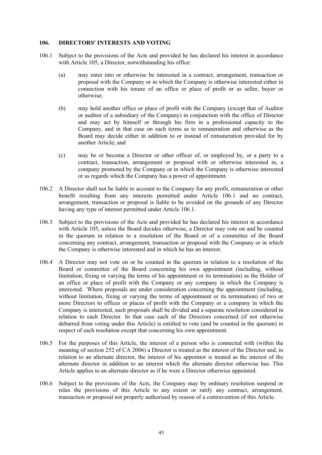#### **106. DIRECTORS' INTERESTS AND VOTING**

- 106.1 Subject to the provisions of the Acts and provided he has declared his interest in accordance with Article 105, a Director, notwithstanding his office:
	- (a) may enter into or otherwise be interested in a contract, arrangement, transaction or proposal with the Company or in which the Company is otherwise interested either in connection with his tenure of an office or place of profit or as seller, buyer or otherwise;
	- (b) may hold another office or place of profit with the Company (except that of Auditor or auditor of a subsidiary of the Company) in conjunction with the office of Director and may act by himself or through his firm in a professional capacity to the Company, and in that case on such terms as to remuneration and otherwise as the Board may decide either in addition to or instead of remuneration provided for by another Article; and
	- (c) may be or become a Director or other officer of, or employed by, or a party to a contract, transaction, arrangement or proposal with or otherwise interested in, a company promoted by the Company or in which the Company is otherwise interested or as regards which the Company has a power of appointment.
- 106.2 A Director shall not be liable to account to the Company for any profit, remuneration or other benefit resulting from any interests permitted under Article 106.1 and no contract, arrangement, transaction or proposal is liable to be avoided on the grounds of any Director having any type of interest permitted under Article 106.1.
- 106.3 Subject to the provisions of the Acts and provided he has declared his interest in accordance with Article 105, unless the Board decides otherwise, a Director may vote on and be counted in the quorum in relation to a resolution of the Board or of a committee of the Board concerning any contract, arrangement, transaction or proposal with the Company or in which the Company is otherwise interested and in which he has an interest.
- 106.4 A Director may not vote on or be counted in the quorum in relation to a resolution of the Board or committee of the Board concerning his own appointment (including, without limitation, fixing or varying the terms of his appointment or its termination) as the Holder of an office or place of profit with the Company or any company in which the Company is interested. Where proposals are under consideration concerning the appointment (including, without limitation, fixing or varying the terms of appointment or its termination) of two or more Directors to offices or places of profit with the Company or a company in which the Company is interested, such proposals shall be divided and a separate resolution considered in relation to each Director. In that case each of the Directors concerned (if not otherwise debarred from voting under this Article) is entitled to vote (and be counted in the quorum) in respect of each resolution except that concerning his own appointment.
- 106.5 For the purposes of this Article, the interest of a person who is connected with (within the meaning of section 252 of CA 2006) a Director is treated as the interest of the Director and, in relation to an alternate director, the interest of his appointor is treated as the interest of the alternate director in addition to an interest which the alternate director otherwise has. This Article applies to an alternate director as if he were a Director otherwise appointed.
- 106.6 Subject to the provisions of the Acts, the Company may by ordinary resolution suspend or relax the provisions of this Article to any extent or ratify any contract, arrangement, transaction or proposal not properly authorised by reason of a contravention of this Article.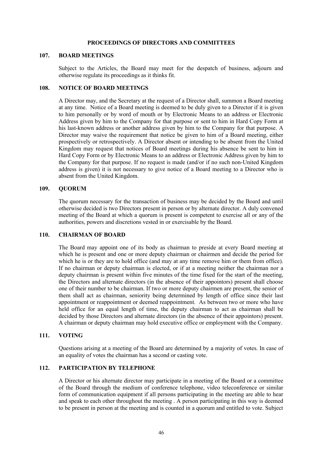#### **PROCEEDINGS OF DIRECTORS AND COMMITTEES**

#### **107. BOARD MEETINGS**

Subject to the Articles, the Board may meet for the despatch of business, adjourn and otherwise regulate its proceedings as it thinks fit.

## **108. NOTICE OF BOARD MEETINGS**

A Director may, and the Secretary at the request of a Director shall, summon a Board meeting at any time. Notice of a Board meeting is deemed to be duly given to a Director if it is given to him personally or by word of mouth or by Electronic Means to an address or Electronic Address given by him to the Company for that purpose or sent to him in Hard Copy Form at his last-known address or another address given by him to the Company for that purpose. A Director may waive the requirement that notice be given to him of a Board meeting, either prospectively or retrospectively. A Director absent or intending to be absent from the United Kingdom may request that notices of Board meetings during his absence be sent to him in Hard Copy Form or by Electronic Means to an address or Electronic Address given by him to the Company for that purpose. If no request is made (and/or if no such non-United Kingdom address is given) it is not necessary to give notice of a Board meeting to a Director who is absent from the United Kingdom.

#### **109. QUORUM**

The quorum necessary for the transaction of business may be decided by the Board and until otherwise decided is two Directors present in person or by alternate director. A duly convened meeting of the Board at which a quorum is present is competent to exercise all or any of the authorities, powers and discretions vested in or exercisable by the Board.

#### **110. CHAIRMAN OF BOARD**

The Board may appoint one of its body as chairman to preside at every Board meeting at which he is present and one or more deputy chairman or chairmen and decide the period for which he is or they are to hold office (and may at any time remove him or them from office). If no chairman or deputy chairman is elected, or if at a meeting neither the chairman nor a deputy chairman is present within five minutes of the time fixed for the start of the meeting, the Directors and alternate directors (in the absence of their appointors) present shall choose one of their number to be chairman. If two or more deputy chairmen are present, the senior of them shall act as chairman, seniority being determined by length of office since their last appointment or reappointment or deemed reappointment. As between two or more who have held office for an equal length of time, the deputy chairman to act as chairman shall be decided by those Directors and alternate directors (in the absence of their appointors) present. A chairman or deputy chairman may hold executive office or employment with the Company.

## **111. VOTING**

Questions arising at a meeting of the Board are determined by a majority of votes. In case of an equality of votes the chairman has a second or casting vote.

## **112. PARTICIPATION BY TELEPHONE**

A Director or his alternate director may participate in a meeting of the Board or a committee of the Board through the medium of conference telephone, video teleconference or similar form of communication equipment if all persons participating in the meeting are able to hear and speak to each other throughout the meeting . A person participating in this way is deemed to be present in person at the meeting and is counted in a quorum and entitled to vote. Subject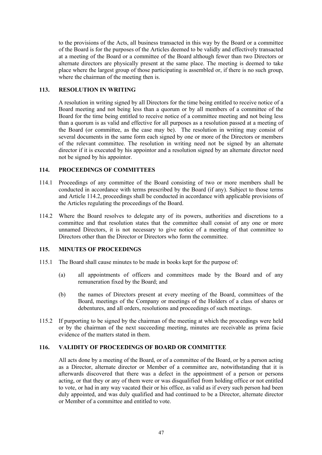to the provisions of the Acts, all business transacted in this way by the Board or a committee of the Board is for the purposes of the Articles deemed to be validly and effectively transacted at a meeting of the Board or a committee of the Board although fewer than two Directors or alternate directors are physically present at the same place. The meeting is deemed to take place where the largest group of those participating is assembled or, if there is no such group, where the chairman of the meeting then is.

# **113. RESOLUTION IN WRITING**

A resolution in writing signed by all Directors for the time being entitled to receive notice of a Board meeting and not being less than a quorum or by all members of a committee of the Board for the time being entitled to receive notice of a committee meeting and not being less than a quorum is as valid and effective for all purposes as a resolution passed at a meeting of the Board (or committee, as the case may be). The resolution in writing may consist of several documents in the same form each signed by one or more of the Directors or members of the relevant committee. The resolution in writing need not be signed by an alternate director if it is executed by his appointor and a resolution signed by an alternate director need not be signed by his appointor.

# **114. PROCEEDINGS OF COMMITTEES**

- 114.1 Proceedings of any committee of the Board consisting of two or more members shall be conducted in accordance with terms prescribed by the Board (if any). Subject to those terms and Article 114.2, proceedings shall be conducted in accordance with applicable provisions of the Articles regulating the proceedings of the Board.
- 114.2 Where the Board resolves to delegate any of its powers, authorities and discretions to a committee and that resolution states that the committee shall consist of any one or more unnamed Directors, it is not necessary to give notice of a meeting of that committee to Directors other than the Director or Directors who form the committee.

## **115. MINUTES OF PROCEEDINGS**

- 115.1 The Board shall cause minutes to be made in books kept for the purpose of:
	- (a) all appointments of officers and committees made by the Board and of any remuneration fixed by the Board; and
	- (b) the names of Directors present at every meeting of the Board, committees of the Board, meetings of the Company or meetings of the Holders of a class of shares or debentures, and all orders, resolutions and proceedings of such meetings.
- 115.2 If purporting to be signed by the chairman of the meeting at which the proceedings were held or by the chairman of the next succeeding meeting, minutes are receivable as prima facie evidence of the matters stated in them.

## **116. VALIDITY OF PROCEEDINGS OF BOARD OR COMMITTEE**

All acts done by a meeting of the Board, or of a committee of the Board, or by a person acting as a Director, alternate director or Member of a committee are, notwithstanding that it is afterwards discovered that there was a defect in the appointment of a person or persons acting, or that they or any of them were or was disqualified from holding office or not entitled to vote, or had in any way vacated their or his office, as valid as if every such person had been duly appointed, and was duly qualified and had continued to be a Director, alternate director or Member of a committee and entitled to vote.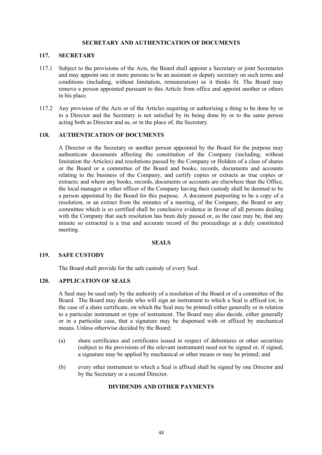#### **SECRETARY AND AUTHENTICATION OF DOCUMENTS**

#### **117. SECRETARY**

- 117.1 Subject to the provisions of the Acts, the Board shall appoint a Secretary or joint Secretaries and may appoint one or more persons to be an assistant or deputy secretary on such terms and conditions (including, without limitation, remuneration) as it thinks fit. The Board may remove a person appointed pursuant to this Article from office and appoint another or others in his place.
- 117.2 Any provision of the Acts or of the Articles requiring or authorising a thing to be done by or to a Director and the Secretary is not satisfied by its being done by or to the same person acting both as Director and as, or in the place of, the Secretary.

#### **118. AUTHENTICATION OF DOCUMENTS**

A Director or the Secretary or another person appointed by the Board for the purpose may authenticate documents affecting the constitution of the Company (including, without limitation the Articles) and resolutions passed by the Company or Holders of a class of shares or the Board or a committee of the Board and books, records, documents and accounts relating to the business of the Company, and certify copies or extracts as true copies or extracts; and where any books, records, documents or accounts are elsewhere than the Office, the local manager or other officer of the Company having their custody shall be deemed to be a person appointed by the Board for this purpose. A document purporting to be a copy of a resolution, or an extract from the minutes of a meeting, of the Company, the Board or any committee which is so certified shall be conclusive evidence in favour of all persons dealing with the Company that such resolution has been duly passed or, as the case may be, that any minute so extracted is a true and accurate record of the proceedings at a duly constituted meeting.

#### **SEALS**

## **119. SAFE CUSTODY**

The Board shall provide for the safe custody of every Seal.

## **120. APPLICATION OF SEALS**

A Seal may be used only by the authority of a resolution of the Board or of a committee of the Board. The Board may decide who will sign an instrument to which a Seal is affixed (or, in the case of a share certificate, on which the Seal may be printed) either generally or in relation to a particular instrument or type of instrument. The Board may also decide, either generally or in a particular case, that a signature may be dispensed with or affixed by mechanical means. Unless otherwise decided by the Board:

- (a) share certificates and certificates issued in respect of debentures or other securities (subject to the provisions of the relevant instrument) need not be signed or, if signed, a signature may be applied by mechanical or other means or may be printed; and
- (b) every other instrument to which a Seal is affixed shall be signed by one Director and by the Secretary or a second Director.

## **DIVIDENDS AND OTHER PAYMENTS**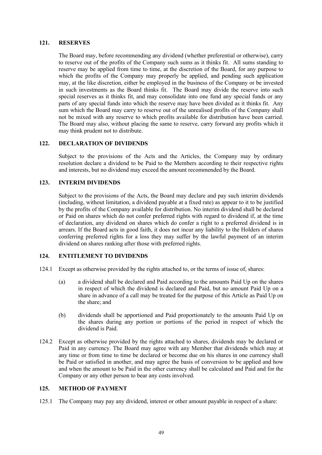#### **121. RESERVES**

The Board may, before recommending any dividend (whether preferential or otherwise), carry to reserve out of the profits of the Company such sums as it thinks fit. All sums standing to reserve may be applied from time to time, at the discretion of the Board, for any purpose to which the profits of the Company may properly be applied, and pending such application may, at the like discretion, either be employed in the business of the Company or be invested in such investments as the Board thinks fit. The Board may divide the reserve into such special reserves as it thinks fit, and may consolidate into one fund any special funds or any parts of any special funds into which the reserve may have been divided as it thinks fit. Any sum which the Board may carry to reserve out of the unrealised profits of the Company shall not be mixed with any reserve to which profits available for distribution have been carried. The Board may also, without placing the same to reserve, carry forward any profits which it may think prudent not to distribute.

## **122. DECLARATION OF DIVIDENDS**

Subject to the provisions of the Acts and the Articles, the Company may by ordinary resolution declare a dividend to be Paid to the Members according to their respective rights and interests, but no dividend may exceed the amount recommended by the Board.

#### **123. INTERIM DIVIDENDS**

Subject to the provisions of the Acts, the Board may declare and pay such interim dividends (including, without limitation, a dividend payable at a fixed rate) as appear to it to be justified by the profits of the Company available for distribution. No interim dividend shall be declared or Paid on shares which do not confer preferred rights with regard to dividend if, at the time of declaration, any dividend on shares which do confer a right to a preferred dividend is in arrears. If the Board acts in good faith, it does not incur any liability to the Holders of shares conferring preferred rights for a loss they may suffer by the lawful payment of an interim dividend on shares ranking after those with preferred rights.

## **124. ENTITLEMENT TO DIVIDENDS**

- 124.1 Except as otherwise provided by the rights attached to, or the terms of issue of, shares:
	- (a) a dividend shall be declared and Paid according to the amounts Paid Up on the shares in respect of which the dividend is declared and Paid, but no amount Paid Up on a share in advance of a call may be treated for the purpose of this Article as Paid Up on the share; and
	- (b) dividends shall be apportioned and Paid proportionately to the amounts Paid Up on the shares during any portion or portions of the period in respect of which the dividend is Paid.
- 124.2 Except as otherwise provided by the rights attached to shares, dividends may be declared or Paid in any currency. The Board may agree with any Member that dividends which may at any time or from time to time be declared or become due on his shares in one currency shall be Paid or satisfied in another, and may agree the basis of conversion to be applied and how and when the amount to be Paid in the other currency shall be calculated and Paid and for the Company or any other person to bear any costs involved.

#### **125. METHOD OF PAYMENT**

125.1 The Company may pay any dividend, interest or other amount payable in respect of a share: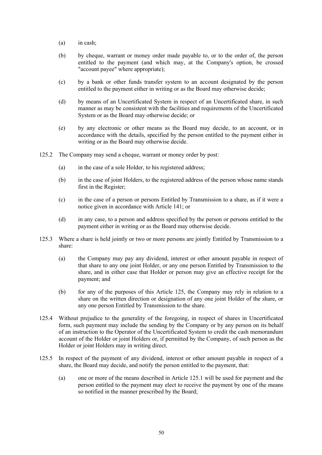- (a) in cash;
- (b) by cheque, warrant or money order made payable to, or to the order of, the person entitled to the payment (and which may, at the Company's option, be crossed "account payee" where appropriate);
- (c) by a bank or other funds transfer system to an account designated by the person entitled to the payment either in writing or as the Board may otherwise decide;
- (d) by means of an Uncertificated System in respect of an Uncertificated share, in such manner as may be consistent with the facilities and requirements of the Uncertificated System or as the Board may otherwise decide; or
- (e) by any electronic or other means as the Board may decide, to an account, or in accordance with the details, specified by the person entitled to the payment either in writing or as the Board may otherwise decide.
- 125.2 The Company may send a cheque, warrant or money order by post:
	- (a) in the case of a sole Holder, to his registered address;
	- (b) in the case of joint Holders, to the registered address of the person whose name stands first in the Register;
	- (c) in the case of a person or persons Entitled by Transmission to a share, as if it were a notice given in accordance with Article 141; or
	- (d) in any case, to a person and address specified by the person or persons entitled to the payment either in writing or as the Board may otherwise decide.
- 125.3 Where a share is held jointly or two or more persons are jointly Entitled by Transmission to a share:
	- (a) the Company may pay any dividend, interest or other amount payable in respect of that share to any one joint Holder, or any one person Entitled by Transmission to the share, and in either case that Holder or person may give an effective receipt for the payment; and
	- (b) for any of the purposes of this Article 125, the Company may rely in relation to a share on the written direction or designation of any one joint Holder of the share, or any one person Entitled by Transmission to the share.
- 125.4 Without prejudice to the generality of the foregoing, in respect of shares in Uncertificated form, such payment may include the sending by the Company or by any person on its behalf of an instruction to the Operator of the Uncertificated System to credit the cash memorandum account of the Holder or joint Holders or, if permitted by the Company, of such person as the Holder or joint Holders may in writing direct.
- 125.5 In respect of the payment of any dividend, interest or other amount payable in respect of a share, the Board may decide, and notify the person entitled to the payment, that:
	- (a) one or more of the means described in Article 125.1 will be used for payment and the person entitled to the payment may elect to receive the payment by one of the means so notified in the manner prescribed by the Board;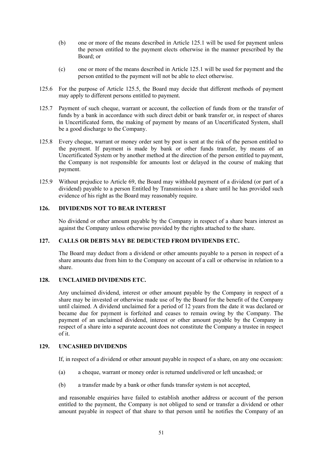- (b) one or more of the means described in Article 125.1 will be used for payment unless the person entitled to the payment elects otherwise in the manner prescribed by the Board; or
- (c) one or more of the means described in Article 125.1 will be used for payment and the person entitled to the payment will not be able to elect otherwise.
- 125.6 For the purpose of Article 125.5, the Board may decide that different methods of payment may apply to different persons entitled to payment.
- 125.7 Payment of such cheque, warrant or account, the collection of funds from or the transfer of funds by a bank in accordance with such direct debit or bank transfer or, in respect of shares in Uncertificated form, the making of payment by means of an Uncertificated System, shall be a good discharge to the Company.
- 125.8 Every cheque, warrant or money order sent by post is sent at the risk of the person entitled to the payment. If payment is made by bank or other funds transfer, by means of an Uncertificated System or by another method at the direction of the person entitled to payment, the Company is not responsible for amounts lost or delayed in the course of making that payment.
- 125.9 Without prejudice to Article 69, the Board may withhold payment of a dividend (or part of a dividend) payable to a person Entitled by Transmission to a share until he has provided such evidence of his right as the Board may reasonably require.

# **126. DIVIDENDS NOT TO BEAR INTEREST**

No dividend or other amount payable by the Company in respect of a share bears interest as against the Company unless otherwise provided by the rights attached to the share.

# **127. CALLS OR DEBTS MAY BE DEDUCTED FROM DIVIDENDS ETC.**

The Board may deduct from a dividend or other amounts payable to a person in respect of a share amounts due from him to the Company on account of a call or otherwise in relation to a share.

## **128. UNCLAIMED DIVIDENDS ETC.**

Any unclaimed dividend, interest or other amount payable by the Company in respect of a share may be invested or otherwise made use of by the Board for the benefit of the Company until claimed. A dividend unclaimed for a period of 12 years from the date it was declared or became due for payment is forfeited and ceases to remain owing by the Company. The payment of an unclaimed dividend, interest or other amount payable by the Company in respect of a share into a separate account does not constitute the Company a trustee in respect of it.

## **129. UNCASHED DIVIDENDS**

If, in respect of a dividend or other amount payable in respect of a share, on any one occasion:

- (a) a cheque, warrant or money order is returned undelivered or left uncashed; or
- (b) a transfer made by a bank or other funds transfer system is not accepted,

and reasonable enquiries have failed to establish another address or account of the person entitled to the payment, the Company is not obliged to send or transfer a dividend or other amount payable in respect of that share to that person until he notifies the Company of an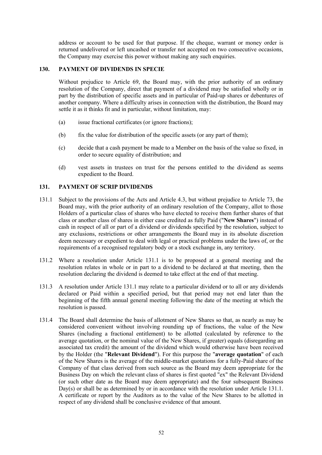address or account to be used for that purpose. If the cheque, warrant or money order is returned undelivered or left uncashed or transfer not accepted on two consecutive occasions, the Company may exercise this power without making any such enquiries.

# **130. PAYMENT OF DIVIDENDS IN SPECIE**

Without prejudice to Article 69, the Board may, with the prior authority of an ordinary resolution of the Company, direct that payment of a dividend may be satisfied wholly or in part by the distribution of specific assets and in particular of Paid-up shares or debentures of another company. Where a difficulty arises in connection with the distribution, the Board may settle it as it thinks fit and in particular, without limitation, may:

- (a) issue fractional certificates (or ignore fractions);
- (b) fix the value for distribution of the specific assets (or any part of them);
- (c) decide that a cash payment be made to a Member on the basis of the value so fixed, in order to secure equality of distribution; and
- (d) vest assets in trustees on trust for the persons entitled to the dividend as seems expedient to the Board.

## **131. PAYMENT OF SCRIP DIVIDENDS**

- 131.1 Subject to the provisions of the Acts and Article 4.3, but without prejudice to Article 73, the Board may, with the prior authority of an ordinary resolution of the Company, allot to those Holders of a particular class of shares who have elected to receive them further shares of that class or another class of shares in either case credited as fully Paid ("**New Shares**") instead of cash in respect of all or part of a dividend or dividends specified by the resolution, subject to any exclusions, restrictions or other arrangements the Board may in its absolute discretion deem necessary or expedient to deal with legal or practical problems under the laws of, or the requirements of a recognised regulatory body or a stock exchange in, any territory.
- 131.2 Where a resolution under Article 131.1 is to be proposed at a general meeting and the resolution relates in whole or in part to a dividend to be declared at that meeting, then the resolution declaring the dividend is deemed to take effect at the end of that meeting.
- 131.3 A resolution under Article 131.1 may relate to a particular dividend or to all or any dividends declared or Paid within a specified period, but that period may not end later than the beginning of the fifth annual general meeting following the date of the meeting at which the resolution is passed.
- 131.4 The Board shall determine the basis of allotment of New Shares so that, as nearly as may be considered convenient without involving rounding up of fractions, the value of the New Shares (including a fractional entitlement) to be allotted (calculated by reference to the average quotation, or the nominal value of the New Shares, if greater) equals (disregarding an associated tax credit) the amount of the dividend which would otherwise have been received by the Holder (the "**Relevant Dividend**"). For this purpose the "**average quotation**" of each of the New Shares is the average of the middle-market quotations for a fully-Paid share of the Company of that class derived from such source as the Board may deem appropriate for the Business Day on which the relevant class of shares is first quoted "ex" the Relevant Dividend (or such other date as the Board may deem appropriate) and the four subsequent Business Day(s) or shall be as determined by or in accordance with the resolution under Article 131.1. A certificate or report by the Auditors as to the value of the New Shares to be allotted in respect of any dividend shall be conclusive evidence of that amount.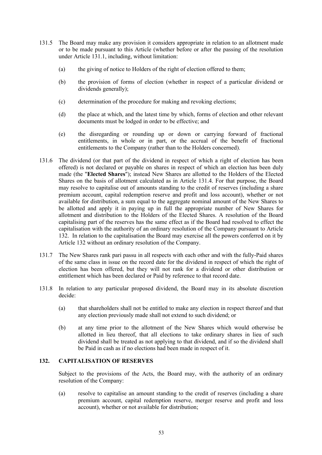- 131.5 The Board may make any provision it considers appropriate in relation to an allotment made or to be made pursuant to this Article (whether before or after the passing of the resolution under Article 131.1, including, without limitation:
	- (a) the giving of notice to Holders of the right of election offered to them;
	- (b) the provision of forms of election (whether in respect of a particular dividend or dividends generally);
	- (c) determination of the procedure for making and revoking elections;
	- (d) the place at which, and the latest time by which, forms of election and other relevant documents must be lodged in order to be effective; and
	- (e) the disregarding or rounding up or down or carrying forward of fractional entitlements, in whole or in part, or the accrual of the benefit of fractional entitlements to the Company (rather than to the Holders concerned).
- 131.6 The dividend (or that part of the dividend in respect of which a right of election has been offered) is not declared or payable on shares in respect of which an election has been duly made (the "**Elected Shares**"); instead New Shares are allotted to the Holders of the Elected Shares on the basis of allotment calculated as in Article 131.4. For that purpose, the Board may resolve to capitalise out of amounts standing to the credit of reserves (including a share premium account, capital redemption reserve and profit and loss account), whether or not available for distribution, a sum equal to the aggregate nominal amount of the New Shares to be allotted and apply it in paying up in full the appropriate number of New Shares for allotment and distribution to the Holders of the Elected Shares. A resolution of the Board capitalising part of the reserves has the same effect as if the Board had resolved to effect the capitalisation with the authority of an ordinary resolution of the Company pursuant to Article 132. In relation to the capitalisation the Board may exercise all the powers conferred on it by Article 132 without an ordinary resolution of the Company.
- 131.7 The New Shares rank pari passu in all respects with each other and with the fully-Paid shares of the same class in issue on the record date for the dividend in respect of which the right of election has been offered, but they will not rank for a dividend or other distribution or entitlement which has been declared or Paid by reference to that record date.
- 131.8 In relation to any particular proposed dividend, the Board may in its absolute discretion decide:
	- (a) that shareholders shall not be entitled to make any election in respect thereof and that any election previously made shall not extend to such dividend; or
	- (b) at any time prior to the allotment of the New Shares which would otherwise be allotted in lieu thereof, that all elections to take ordinary shares in lieu of such dividend shall be treated as not applying to that dividend, and if so the dividend shall be Paid in cash as if no elections had been made in respect of it.

## **132. CAPITALISATION OF RESERVES**

Subject to the provisions of the Acts, the Board may, with the authority of an ordinary resolution of the Company:

(a) resolve to capitalise an amount standing to the credit of reserves (including a share premium account, capital redemption reserve, merger reserve and profit and loss account), whether or not available for distribution;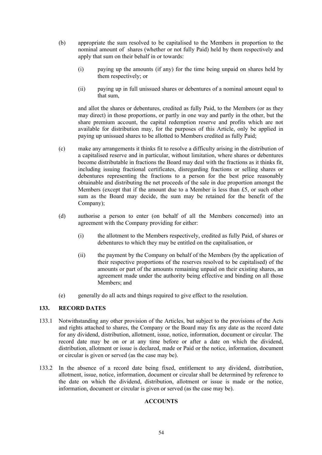- (b) appropriate the sum resolved to be capitalised to the Members in proportion to the nominal amount of shares (whether or not fully Paid) held by them respectively and apply that sum on their behalf in or towards:
	- (i) paying up the amounts (if any) for the time being unpaid on shares held by them respectively; or
	- (ii) paying up in full unissued shares or debentures of a nominal amount equal to that sum,

and allot the shares or debentures, credited as fully Paid, to the Members (or as they may direct) in those proportions, or partly in one way and partly in the other, but the share premium account, the capital redemption reserve and profits which are not available for distribution may, for the purposes of this Article, only be applied in paying up unissued shares to be allotted to Members credited as fully Paid;

- (c) make any arrangements it thinks fit to resolve a difficulty arising in the distribution of a capitalised reserve and in particular, without limitation, where shares or debentures become distributable in fractions the Board may deal with the fractions as it thinks fit, including issuing fractional certificates, disregarding fractions or selling shares or debentures representing the fractions to a person for the best price reasonably obtainable and distributing the net proceeds of the sale in due proportion amongst the Members (except that if the amount due to a Member is less than £5, or such other sum as the Board may decide, the sum may be retained for the benefit of the Company);
- (d) authorise a person to enter (on behalf of all the Members concerned) into an agreement with the Company providing for either:
	- (i) the allotment to the Members respectively, credited as fully Paid, of shares or debentures to which they may be entitled on the capitalisation, or
	- (ii) the payment by the Company on behalf of the Members (by the application of their respective proportions of the reserves resolved to be capitalised) of the amounts or part of the amounts remaining unpaid on their existing shares, an agreement made under the authority being effective and binding on all those Members; and
- (e) generally do all acts and things required to give effect to the resolution.

## **133. RECORD DATES**

- 133.1 Notwithstanding any other provision of the Articles, but subject to the provisions of the Acts and rights attached to shares, the Company or the Board may fix any date as the record date for any dividend, distribution, allotment, issue, notice, information, document or circular. The record date may be on or at any time before or after a date on which the dividend, distribution, allotment or issue is declared, made or Paid or the notice, information, document or circular is given or served (as the case may be).
- 133.2 In the absence of a record date being fixed, entitlement to any dividend, distribution, allotment, issue, notice, information, document or circular shall be determined by reference to the date on which the dividend, distribution, allotment or issue is made or the notice, information, document or circular is given or served (as the case may be).

# **ACCOUNTS**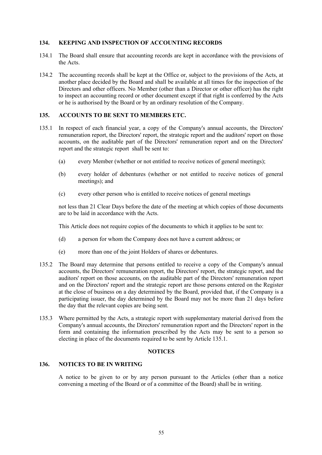# **134. KEEPING AND INSPECTION OF ACCOUNTING RECORDS**

- 134.1 The Board shall ensure that accounting records are kept in accordance with the provisions of the Acts.
- 134.2 The accounting records shall be kept at the Office or, subject to the provisions of the Acts, at another place decided by the Board and shall be available at all times for the inspection of the Directors and other officers. No Member (other than a Director or other officer) has the right to inspect an accounting record or other document except if that right is conferred by the Acts or he is authorised by the Board or by an ordinary resolution of the Company.

## **135. ACCOUNTS TO BE SENT TO MEMBERS ETC.**

- 135.1 In respect of each financial year, a copy of the Company's annual accounts, the Directors' remuneration report, the Directors' report, the strategic report and the auditors' report on those accounts, on the auditable part of the Directors' remuneration report and on the Directors' report and the strategic report shall be sent to:
	- (a) every Member (whether or not entitled to receive notices of general meetings);
	- (b) every holder of debentures (whether or not entitled to receive notices of general meetings); and
	- (c) every other person who is entitled to receive notices of general meetings

not less than 21 Clear Days before the date of the meeting at which copies of those documents are to be laid in accordance with the Acts.

This Article does not require copies of the documents to which it applies to be sent to:

- (d) a person for whom the Company does not have a current address; or
- (e) more than one of the joint Holders of shares or debentures.
- 135.2 The Board may determine that persons entitled to receive a copy of the Company's annual accounts, the Directors' remuneration report, the Directors' report, the strategic report, and the auditors' report on those accounts, on the auditable part of the Directors' remuneration report and on the Directors' report and the strategic report are those persons entered on the Register at the close of business on a day determined by the Board, provided that, if the Company is a participating issuer, the day determined by the Board may not be more than 21 days before the day that the relevant copies are being sent.
- 135.3 Where permitted by the Acts, a strategic report with supplementary material derived from the Company's annual accounts, the Directors' remuneration report and the Directors' report in the form and containing the information prescribed by the Acts may be sent to a person so electing in place of the documents required to be sent by Article 135.1.

## **NOTICES**

# **136. NOTICES TO BE IN WRITING**

A notice to be given to or by any person pursuant to the Articles (other than a notice convening a meeting of the Board or of a committee of the Board) shall be in writing.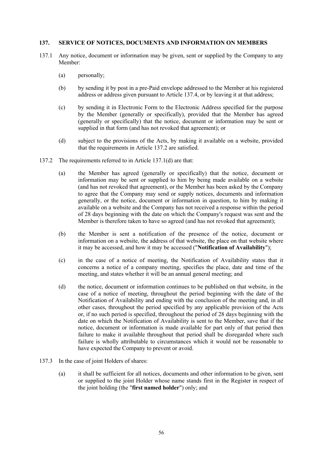#### **137. SERVICE OF NOTICES, DOCUMENTS AND INFORMATION ON MEMBERS**

- 137.1 Any notice, document or information may be given, sent or supplied by the Company to any Member:
	- (a) personally;
	- (b) by sending it by post in a pre-Paid envelope addressed to the Member at his registered address or address given pursuant to Article 137.4, or by leaving it at that address;
	- (c) by sending it in Electronic Form to the Electronic Address specified for the purpose by the Member (generally or specifically), provided that the Member has agreed (generally or specifically) that the notice, document or information may be sent or supplied in that form (and has not revoked that agreement); or
	- (d) subject to the provisions of the Acts, by making it available on a website, provided that the requirements in Article 137.2 are satisfied.
- 137.2 The requirements referred to in Article 137.1(d) are that:
	- (a) the Member has agreed (generally or specifically) that the notice, document or information may be sent or supplied to him by being made available on a website (and has not revoked that agreement), or the Member has been asked by the Company to agree that the Company may send or supply notices, documents and information generally, or the notice, document or information in question, to him by making it available on a website and the Company has not received a response within the period of 28 days beginning with the date on which the Company's request was sent and the Member is therefore taken to have so agreed (and has not revoked that agreement);
	- (b) the Member is sent a notification of the presence of the notice, document or information on a website, the address of that website, the place on that website where it may be accessed, and how it may be accessed ("**Notification of Availability**");
	- (c) in the case of a notice of meeting, the Notification of Availability states that it concerns a notice of a company meeting, specifies the place, date and time of the meeting, and states whether it will be an annual general meeting; and
	- (d) the notice, document or information continues to be published on that website, in the case of a notice of meeting, throughout the period beginning with the date of the Notification of Availability and ending with the conclusion of the meeting and, in all other cases, throughout the period specified by any applicable provision of the Acts or, if no such period is specified, throughout the period of 28 days beginning with the date on which the Notification of Availability is sent to the Member, save that if the notice, document or information is made available for part only of that period then failure to make it available throughout that period shall be disregarded where such failure is wholly attributable to circumstances which it would not be reasonable to have expected the Company to prevent or avoid.
- 137.3 In the case of joint Holders of shares:
	- (a) it shall be sufficient for all notices, documents and other information to be given, sent or supplied to the joint Holder whose name stands first in the Register in respect of the joint holding (the "**first named holder**") only; and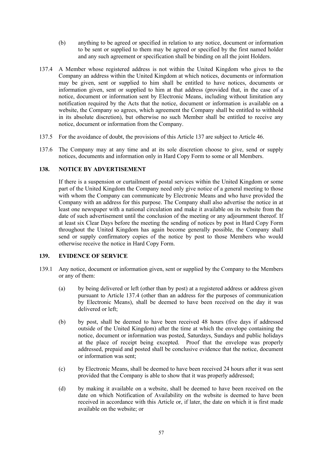- (b) anything to be agreed or specified in relation to any notice, document or information to be sent or supplied to them may be agreed or specified by the first named holder and any such agreement or specification shall be binding on all the joint Holders.
- 137.4 A Member whose registered address is not within the United Kingdom who gives to the Company an address within the United Kingdom at which notices, documents or information may be given, sent or supplied to him shall be entitled to have notices, documents or information given, sent or supplied to him at that address (provided that, in the case of a notice, document or information sent by Electronic Means, including without limitation any notification required by the Acts that the notice, document or information is available on a website, the Company so agrees, which agreement the Company shall be entitled to withhold in its absolute discretion), but otherwise no such Member shall be entitled to receive any notice, document or information from the Company.
- 137.5 For the avoidance of doubt, the provisions of this Article 137 are subject to Article 46.
- 137.6 The Company may at any time and at its sole discretion choose to give, send or supply notices, documents and information only in Hard Copy Form to some or all Members.

# **138. NOTICE BY ADVERTISEMENT**

If there is a suspension or curtailment of postal services within the United Kingdom or some part of the United Kingdom the Company need only give notice of a general meeting to those with whom the Company can communicate by Electronic Means and who have provided the Company with an address for this purpose. The Company shall also advertise the notice in at least one newspaper with a national circulation and make it available on its website from the date of such advertisement until the conclusion of the meeting or any adjournment thereof. If at least six Clear Days before the meeting the sending of notices by post in Hard Copy Form throughout the United Kingdom has again become generally possible, the Company shall send or supply confirmatory copies of the notice by post to those Members who would otherwise receive the notice in Hard Copy Form.

## **139. EVIDENCE OF SERVICE**

- 139.1 Any notice, document or information given, sent or supplied by the Company to the Members or any of them:
	- (a) by being delivered or left (other than by post) at a registered address or address given pursuant to Article 137.4 (other than an address for the purposes of communication by Electronic Means), shall be deemed to have been received on the day it was delivered or left;
	- (b) by post, shall be deemed to have been received 48 hours (five days if addressed outside of the United Kingdom) after the time at which the envelope containing the notice, document or information was posted, Saturdays, Sundays and public holidays at the place of receipt being excepted. Proof that the envelope was properly addressed, prepaid and posted shall be conclusive evidence that the notice, document or information was sent;
	- (c) by Electronic Means, shall be deemed to have been received 24 hours after it was sent provided that the Company is able to show that it was properly addressed;
	- (d) by making it available on a website, shall be deemed to have been received on the date on which Notification of Availability on the website is deemed to have been received in accordance with this Article or, if later, the date on which it is first made available on the website; or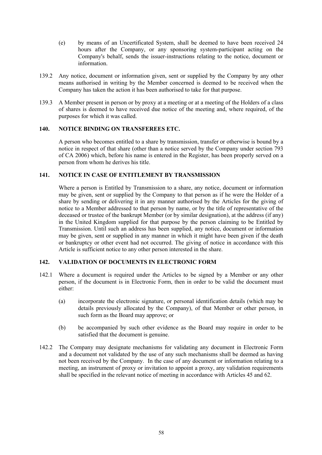- (e) by means of an Uncertificated System, shall be deemed to have been received 24 hours after the Company, or any sponsoring system-participant acting on the Company's behalf, sends the issuer-instructions relating to the notice, document or information.
- 139.2 Any notice, document or information given, sent or supplied by the Company by any other means authorised in writing by the Member concerned is deemed to be received when the Company has taken the action it has been authorised to take for that purpose.
- 139.3 A Member present in person or by proxy at a meeting or at a meeting of the Holders of a class of shares is deemed to have received due notice of the meeting and, where required, of the purposes for which it was called.

# **140. NOTICE BINDING ON TRANSFEREES ETC.**

A person who becomes entitled to a share by transmission, transfer or otherwise is bound by a notice in respect of that share (other than a notice served by the Company under section 793 of CA 2006) which, before his name is entered in the Register, has been properly served on a person from whom he derives his title.

# **141. NOTICE IN CASE OF ENTITLEMENT BY TRANSMISSION**

Where a person is Entitled by Transmission to a share, any notice, document or information may be given, sent or supplied by the Company to that person as if he were the Holder of a share by sending or delivering it in any manner authorised by the Articles for the giving of notice to a Member addressed to that person by name, or by the title of representative of the deceased or trustee of the bankrupt Member (or by similar designation), at the address (if any) in the United Kingdom supplied for that purpose by the person claiming to be Entitled by Transmission. Until such an address has been supplied, any notice, document or information may be given, sent or supplied in any manner in which it might have been given if the death or bankruptcy or other event had not occurred. The giving of notice in accordance with this Article is sufficient notice to any other person interested in the share.

# **142. VALIDATION OF DOCUMENTS IN ELECTRONIC FORM**

- 142.1 Where a document is required under the Articles to be signed by a Member or any other person, if the document is in Electronic Form, then in order to be valid the document must either:
	- (a) incorporate the electronic signature, or personal identification details (which may be details previously allocated by the Company), of that Member or other person, in such form as the Board may approve; or
	- (b) be accompanied by such other evidence as the Board may require in order to be satisfied that the document is genuine.
- 142.2 The Company may designate mechanisms for validating any document in Electronic Form and a document not validated by the use of any such mechanisms shall be deemed as having not been received by the Company. In the case of any document or information relating to a meeting, an instrument of proxy or invitation to appoint a proxy, any validation requirements shall be specified in the relevant notice of meeting in accordance with Articles 45 and 62.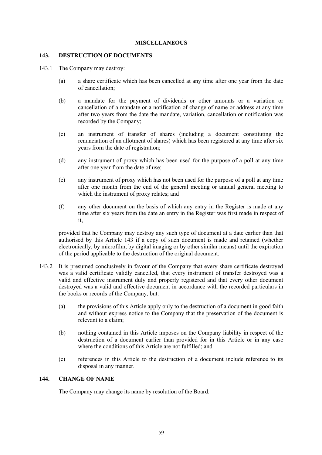#### **MISCELLANEOUS**

#### **143. DESTRUCTION OF DOCUMENTS**

- 143.1 The Company may destroy:
	- (a) a share certificate which has been cancelled at any time after one year from the date of cancellation;
	- (b) a mandate for the payment of dividends or other amounts or a variation or cancellation of a mandate or a notification of change of name or address at any time after two years from the date the mandate, variation, cancellation or notification was recorded by the Company;
	- (c) an instrument of transfer of shares (including a document constituting the renunciation of an allotment of shares) which has been registered at any time after six years from the date of registration;
	- (d) any instrument of proxy which has been used for the purpose of a poll at any time after one year from the date of use;
	- (e) any instrument of proxy which has not been used for the purpose of a poll at any time after one month from the end of the general meeting or annual general meeting to which the instrument of proxy relates; and
	- (f) any other document on the basis of which any entry in the Register is made at any time after six years from the date an entry in the Register was first made in respect of it,

provided that he Company may destroy any such type of document at a date earlier than that authorised by this Article 143 if a copy of such document is made and retained (whether electronically, by microfilm, by digital imaging or by other similar means) until the expiration of the period applicable to the destruction of the original document.

- 143.2 It is presumed conclusively in favour of the Company that every share certificate destroyed was a valid certificate validly cancelled, that every instrument of transfer destroyed was a valid and effective instrument duly and properly registered and that every other document destroyed was a valid and effective document in accordance with the recorded particulars in the books or records of the Company, but:
	- (a) the provisions of this Article apply only to the destruction of a document in good faith and without express notice to the Company that the preservation of the document is relevant to a claim;
	- (b) nothing contained in this Article imposes on the Company liability in respect of the destruction of a document earlier than provided for in this Article or in any case where the conditions of this Article are not fulfilled; and
	- (c) references in this Article to the destruction of a document include reference to its disposal in any manner.

# **144. CHANGE OF NAME**

The Company may change its name by resolution of the Board.